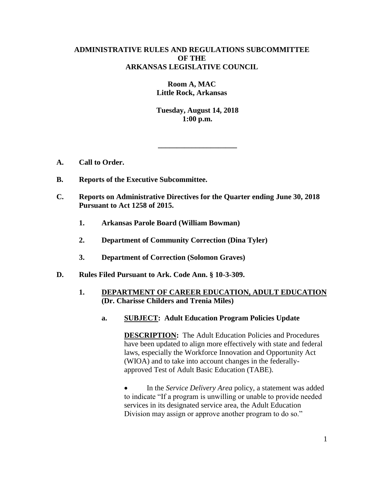# **ADMINISTRATIVE RULES AND REGULATIONS SUBCOMMITTEE OF THE ARKANSAS LEGISLATIVE COUNCIL**

**Room A, MAC Little Rock, Arkansas**

**Tuesday, August 14, 2018 1:00 p.m.**

**\_\_\_\_\_\_\_\_\_\_\_\_\_\_\_\_\_\_\_\_\_**

- **A. Call to Order.**
- **B. Reports of the Executive Subcommittee.**
- **C. Reports on Administrative Directives for the Quarter ending June 30, 2018 Pursuant to Act 1258 of 2015.**
	- **1. Arkansas Parole Board (William Bowman)**
	- **2. Department of Community Correction (Dina Tyler)**
	- **3. Department of Correction (Solomon Graves)**
- **D. Rules Filed Pursuant to Ark. Code Ann. § 10-3-309.**
	- **1. DEPARTMENT OF CAREER EDUCATION, ADULT EDUCATION (Dr. Charisse Childers and Trenia Miles)**
		- **a. SUBJECT: Adult Education Program Policies Update**

**DESCRIPTION:** The Adult Education Policies and Procedures have been updated to align more effectively with state and federal laws, especially the Workforce Innovation and Opportunity Act (WIOA) and to take into account changes in the federallyapproved Test of Adult Basic Education (TABE).

• In the *Service Delivery Area* policy, a statement was added to indicate "If a program is unwilling or unable to provide needed services in its designated service area, the Adult Education Division may assign or approve another program to do so."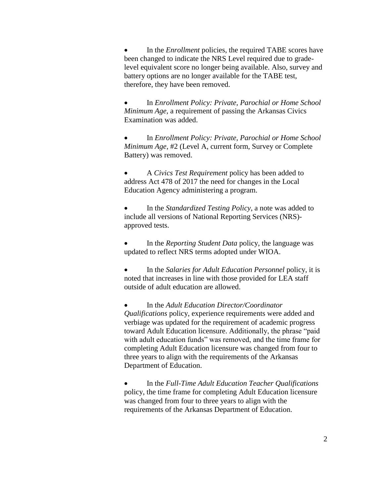In the *Enrollment* policies, the required TABE scores have been changed to indicate the NRS Level required due to gradelevel equivalent score no longer being available. Also, survey and battery options are no longer available for the TABE test, therefore, they have been removed.

 In *Enrollment Policy: Private, Parochial or Home School Minimum Age,* a requirement of passing the Arkansas Civics Examination was added.

 In *Enrollment Policy: Private, Parochial or Home School Minimum Age*, #2 (Level A, current form, Survey or Complete Battery) was removed.

 A *Civics Test Requirement* policy has been added to address Act 478 of 2017 the need for changes in the Local Education Agency administering a program.

 In the *Standardized Testing Policy*, a note was added to include all versions of National Reporting Services (NRS) approved tests.

 In the *Reporting Student Data* policy, the language was updated to reflect NRS terms adopted under WIOA.

 In the *Salaries for Adult Education Personnel* policy, it is noted that increases in line with those provided for LEA staff outside of adult education are allowed.

 In the *Adult Education Director/Coordinator Qualifications* policy, experience requirements were added and verbiage was updated for the requirement of academic progress toward Adult Education licensure. Additionally, the phrase "paid with adult education funds" was removed, and the time frame for completing Adult Education licensure was changed from four to three years to align with the requirements of the Arkansas Department of Education.

 In the *Full-Time Adult Education Teacher Qualifications* policy, the time frame for completing Adult Education licensure was changed from four to three years to align with the requirements of the Arkansas Department of Education.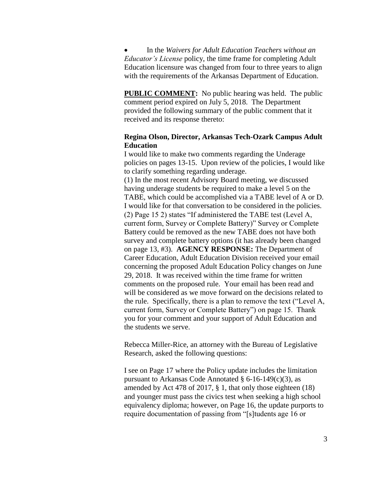In the *Waivers for Adult Education Teachers without an Educator's License* policy, the time frame for completing Adult Education licensure was changed from four to three years to align with the requirements of the Arkansas Department of Education.

**PUBLIC COMMENT:** No public hearing was held. The public comment period expired on July 5, 2018. The Department provided the following summary of the public comment that it received and its response thereto:

# **Regina Olson, Director, Arkansas Tech-Ozark Campus Adult Education**

I would like to make two comments regarding the Underage policies on pages 13-15. Upon review of the policies, I would like to clarify something regarding underage.

(1) In the most recent Advisory Board meeting, we discussed having underage students be required to make a level 5 on the TABE, which could be accomplished via a TABE level of A or D. I would like for that conversation to be considered in the policies. (2) Page 15 2) states "If administered the TABE test (Level A, current form, Survey or Complete Battery)" Survey or Complete Battery could be removed as the new TABE does not have both survey and complete battery options (it has already been changed on page 13, #3). **AGENCY RESPONSE:** The Department of Career Education, Adult Education Division received your email concerning the proposed Adult Education Policy changes on June 29, 2018. It was received within the time frame for written comments on the proposed rule. Your email has been read and will be considered as we move forward on the decisions related to the rule. Specifically, there is a plan to remove the text ("Level A, current form, Survey or Complete Battery") on page 15. Thank you for your comment and your support of Adult Education and the students we serve.

Rebecca Miller-Rice, an attorney with the Bureau of Legislative Research, asked the following questions:

I see on Page 17 where the Policy update includes the limitation pursuant to Arkansas Code Annotated § 6-16-149(c)(3), as amended by Act 478 of 2017, § 1, that only those eighteen (18) and younger must pass the civics test when seeking a high school equivalency diploma; however, on Page 16, the update purports to require documentation of passing from "[s]tudents age 16 or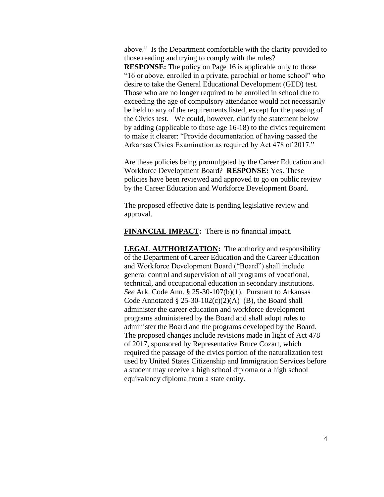above." Is the Department comfortable with the clarity provided to those reading and trying to comply with the rules? **RESPONSE:** The policy on Page 16 is applicable only to those "16 or above, enrolled in a private, parochial or home school" who desire to take the General Educational Development (GED) test. Those who are no longer required to be enrolled in school due to exceeding the age of compulsory attendance would not necessarily be held to any of the requirements listed, except for the passing of the Civics test. We could, however, clarify the statement below by adding (applicable to those age 16-18) to the civics requirement to make it clearer: "Provide documentation of having passed the Arkansas Civics Examination as required by Act 478 of 2017."

Are these policies being promulgated by the Career Education and Workforce Development Board? **RESPONSE:** Yes. These policies have been reviewed and approved to go on public review by the Career Education and Workforce Development Board.

The proposed effective date is pending legislative review and approval.

**FINANCIAL IMPACT:** There is no financial impact.

**LEGAL AUTHORIZATION:** The authority and responsibility of the Department of Career Education and the Career Education and Workforce Development Board ("Board") shall include general control and supervision of all programs of vocational, technical, and occupational education in secondary institutions. *See* Ark. Code Ann. § 25-30-107(b)(1). Pursuant to Arkansas Code Annotated §  $25-30-102(c)(2)(A)$ –(B), the Board shall administer the career education and workforce development programs administered by the Board and shall adopt rules to administer the Board and the programs developed by the Board. The proposed changes include revisions made in light of Act 478 of 2017, sponsored by Representative Bruce Cozart, which required the passage of the civics portion of the naturalization test used by United States Citizenship and Immigration Services before a student may receive a high school diploma or a high school equivalency diploma from a state entity.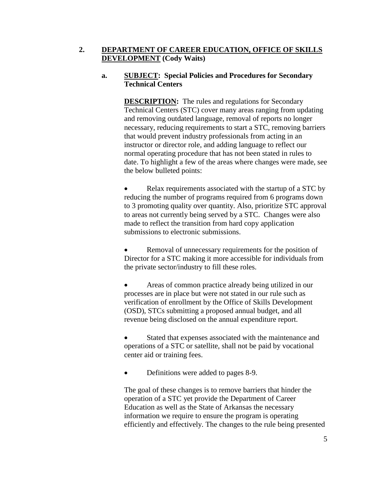# **2. DEPARTMENT OF CAREER EDUCATION, OFFICE OF SKILLS DEVELOPMENT (Cody Waits)**

# **a. SUBJECT: Special Policies and Procedures for Secondary Technical Centers**

**DESCRIPTION:** The rules and regulations for Secondary Technical Centers (STC) cover many areas ranging from updating and removing outdated language, removal of reports no longer necessary, reducing requirements to start a STC, removing barriers that would prevent industry professionals from acting in an instructor or director role, and adding language to reflect our normal operating procedure that has not been stated in rules to date. To highlight a few of the areas where changes were made, see the below bulleted points:

• Relax requirements associated with the startup of a STC by reducing the number of programs required from 6 programs down to 3 promoting quality over quantity. Also, prioritize STC approval to areas not currently being served by a STC. Changes were also made to reflect the transition from hard copy application submissions to electronic submissions.

 Removal of unnecessary requirements for the position of Director for a STC making it more accessible for individuals from the private sector/industry to fill these roles.

 Areas of common practice already being utilized in our processes are in place but were not stated in our rule such as verification of enrollment by the Office of Skills Development (OSD), STCs submitting a proposed annual budget, and all revenue being disclosed on the annual expenditure report.

 Stated that expenses associated with the maintenance and operations of a STC or satellite, shall not be paid by vocational center aid or training fees.

• Definitions were added to pages 8-9.

The goal of these changes is to remove barriers that hinder the operation of a STC yet provide the Department of Career Education as well as the State of Arkansas the necessary information we require to ensure the program is operating efficiently and effectively. The changes to the rule being presented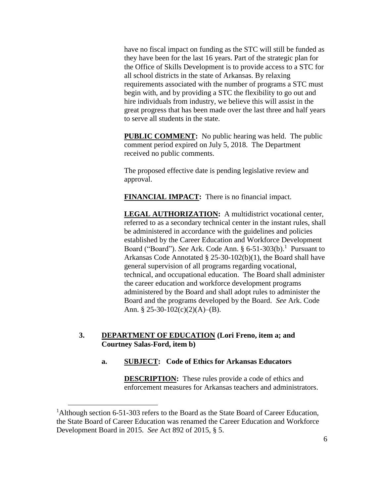have no fiscal impact on funding as the STC will still be funded as they have been for the last 16 years. Part of the strategic plan for the Office of Skills Development is to provide access to a STC for all school districts in the state of Arkansas. By relaxing requirements associated with the number of programs a STC must begin with, and by providing a STC the flexibility to go out and hire individuals from industry, we believe this will assist in the great progress that has been made over the last three and half years to serve all students in the state.

**PUBLIC COMMENT:** No public hearing was held. The public comment period expired on July 5, 2018. The Department received no public comments.

The proposed effective date is pending legislative review and approval.

**FINANCIAL IMPACT:** There is no financial impact.

**LEGAL AUTHORIZATION:** A multidistrict vocational center, referred to as a secondary technical center in the instant rules, shall be administered in accordance with the guidelines and policies established by the Career Education and Workforce Development Board ("Board"). See Ark. Code Ann. § 6-51-303(b).<sup>1</sup> Pursuant to Arkansas Code Annotated § 25-30-102(b)(1), the Board shall have general supervision of all programs regarding vocational, technical, and occupational education. The Board shall administer the career education and workforce development programs administered by the Board and shall adopt rules to administer the Board and the programs developed by the Board. *See* Ark. Code Ann. § 25-30-102(c)(2)(A)–(B).

# **3. DEPARTMENT OF EDUCATION (Lori Freno, item a; and Courtney Salas-Ford, item b)**

# **a. SUBJECT: Code of Ethics for Arkansas Educators**

**DESCRIPTION:** These rules provide a code of ethics and enforcement measures for Arkansas teachers and administrators.

 $\overline{a}$ 

<sup>&</sup>lt;sup>1</sup>Although section 6-51-303 refers to the Board as the State Board of Career Education, the State Board of Career Education was renamed the Career Education and Workforce Development Board in 2015. *See* Act 892 of 2015, § 5.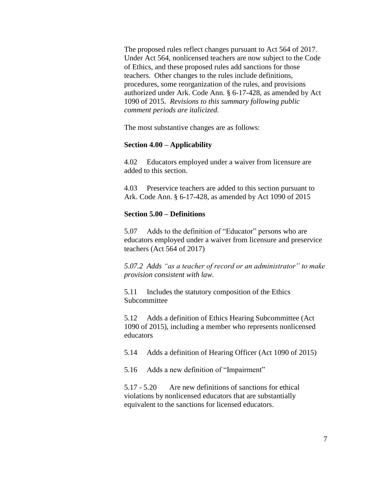The proposed rules reflect changes pursuant to Act 564 of 2017. Under Act 564, nonlicensed teachers are now subject to the Code of Ethics, and these proposed rules add sanctions for those teachers. Other changes to the rules include definitions, procedures, some reorganization of the rules, and provisions authorized under Ark. Code Ann. § 6-17-428, as amended by Act 1090 of 2015. *Revisions to this summary following public comment periods are italicized.*

The most substantive changes are as follows:

### **Section 4.00 – Applicability**

4.02 Educators employed under a waiver from licensure are added to this section.

4.03 Preservice teachers are added to this section pursuant to Ark. Code Ann. § 6-17-428, as amended by Act 1090 of 2015

### **Section 5.00 – Definitions**

5.07 Adds to the definition of "Educator" persons who are educators employed under a waiver from licensure and preservice teachers (Act 564 of 2017)

*5.07.2 Adds "as a teacher of record or an administrator" to make provision consistent with law.*

5.11 Includes the statutory composition of the Ethics Subcommittee

5.12 Adds a definition of Ethics Hearing Subcommittee (Act 1090 of 2015), including a member who represents nonlicensed educators

5.14 Adds a definition of Hearing Officer (Act 1090 of 2015)

5.16 Adds a new definition of "Impairment"

5.17 - 5.20 Are new definitions of sanctions for ethical violations by nonlicensed educators that are substantially equivalent to the sanctions for licensed educators.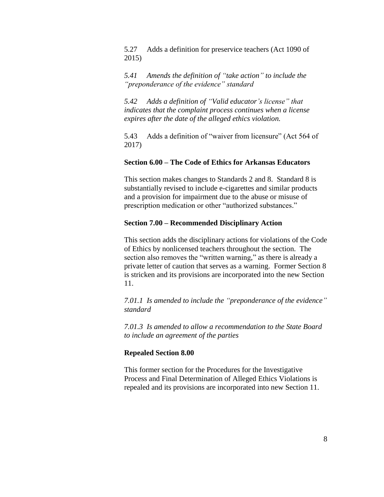5.27 Adds a definition for preservice teachers (Act 1090 of 2015)

*5.41 Amends the definition of "take action" to include the "preponderance of the evidence" standard*

*5.42 Adds a definition of "Valid educator's license" that indicates that the complaint process continues when a license expires after the date of the alleged ethics violation.*

5.43 Adds a definition of "waiver from licensure" (Act 564 of 2017)

# **Section 6.00 – The Code of Ethics for Arkansas Educators**

This section makes changes to Standards 2 and 8. Standard 8 is substantially revised to include e-cigarettes and similar products and a provision for impairment due to the abuse or misuse of prescription medication or other "authorized substances."

### **Section 7.00 – Recommended Disciplinary Action**

This section adds the disciplinary actions for violations of the Code of Ethics by nonlicensed teachers throughout the section. The section also removes the "written warning," as there is already a private letter of caution that serves as a warning. Former Section 8 is stricken and its provisions are incorporated into the new Section 11.

*7.01.1 Is amended to include the "preponderance of the evidence" standard*

*7.01.3 Is amended to allow a recommendation to the State Board to include an agreement of the parties*

#### **Repealed Section 8.00**

This former section for the Procedures for the Investigative Process and Final Determination of Alleged Ethics Violations is repealed and its provisions are incorporated into new Section 11.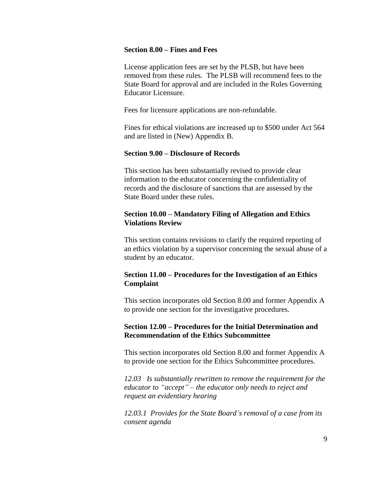### **Section 8.00 – Fines and Fees**

License application fees are set by the PLSB, but have been removed from these rules. The PLSB will recommend fees to the State Board for approval and are included in the Rules Governing Educator Licensure.

Fees for licensure applications are non-refundable.

Fines for ethical violations are increased up to \$500 under Act 564 and are listed in (New) Appendix B.

### **Section 9.00 – Disclosure of Records**

This section has been substantially revised to provide clear information to the educator concerning the confidentiality of records and the disclosure of sanctions that are assessed by the State Board under these rules.

# **Section 10.00 – Mandatory Filing of Allegation and Ethics Violations Review**

This section contains revisions to clarify the required reporting of an ethics violation by a supervisor concerning the sexual abuse of a student by an educator.

# **Section 11.00 – Procedures for the Investigation of an Ethics Complaint**

This section incorporates old Section 8.00 and former Appendix A to provide one section for the investigative procedures.

# **Section 12.00 – Procedures for the Initial Determination and Recommendation of the Ethics Subcommittee**

This section incorporates old Section 8.00 and former Appendix A to provide one section for the Ethics Subcommittee procedures.

*12.03 Is substantially rewritten to remove the requirement for the educator to "accept" – the educator only needs to reject and request an evidentiary hearing*

*12.03.1 Provides for the State Board's removal of a case from its consent agenda*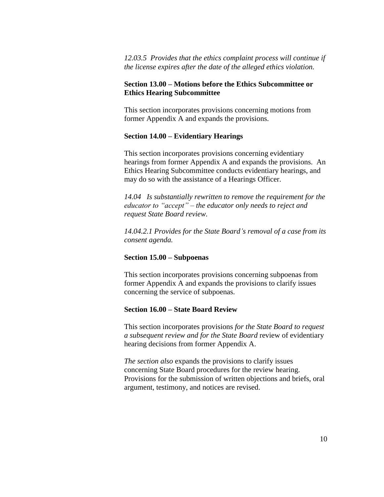# *12.03.5 Provides that the ethics complaint process will continue if the license expires after the date of the alleged ethics violation.*

# **Section 13.00 – Motions before the Ethics Subcommittee or Ethics Hearing Subcommittee**

This section incorporates provisions concerning motions from former Appendix A and expands the provisions.

# **Section 14.00 – Evidentiary Hearings**

This section incorporates provisions concerning evidentiary hearings from former Appendix A and expands the provisions. An Ethics Hearing Subcommittee conducts evidentiary hearings, and may do so with the assistance of a Hearings Officer.

*14.04 Is substantially rewritten to remove the requirement for the educator to "accept" – the educator only needs to reject and request State Board review.*

*14.04.2.1 Provides for the State Board's removal of a case from its consent agenda.*

# **Section 15.00 – Subpoenas**

This section incorporates provisions concerning subpoenas from former Appendix A and expands the provisions to clarify issues concerning the service of subpoenas.

# **Section 16.00 – State Board Review**

This section incorporates provisions *for the State Board to request a subsequent review and for the State Board* review of evidentiary hearing decisions from former Appendix A.

*The section also* expands the provisions to clarify issues concerning State Board procedures for the review hearing. Provisions for the submission of written objections and briefs, oral argument, testimony, and notices are revised.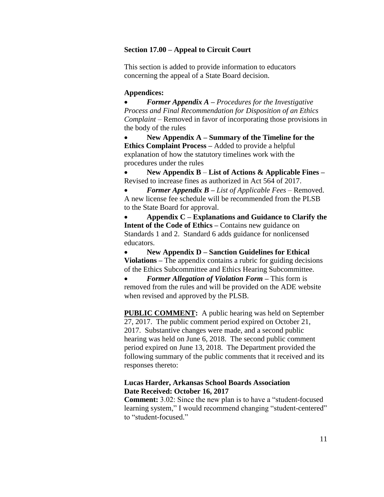### **Section 17.00 – Appeal to Circuit Court**

This section is added to provide information to educators concerning the appeal of a State Board decision.

### **Appendices:**

 *Former Appendix A* **–** *Procedures for the Investigative Process and Final Recommendation for Disposition of an Ethics Complaint* – Removed in favor of incorporating those provisions in the body of the rules

 **New Appendix A – Summary of the Timeline for the Ethics Complaint Process –** Added to provide a helpful explanation of how the statutory timelines work with the procedures under the rules

 **New Appendix B** – **List of Actions & Applicable Fines –** Revised to increase fines as authorized in Act 564 of 2017.

 *Former Appendix B – List of Applicable Fees –* Removed. A new license fee schedule will be recommended from the PLSB to the State Board for approval.

 **Appendix C – Explanations and Guidance to Clarify the Intent of the Code of Ethics –** Contains new guidance on Standards 1 and 2. Standard 6 adds guidance for nonlicensed educators.

 **New Appendix D – Sanction Guidelines for Ethical Violations –** The appendix contains a rubric for guiding decisions of the Ethics Subcommittee and Ethics Hearing Subcommittee.

 *Former Allegation of Violation Form –* This form is removed from the rules and will be provided on the ADE website when revised and approved by the PLSB.

**PUBLIC COMMENT:** A public hearing was held on September 27, 2017. The public comment period expired on October 21, 2017. Substantive changes were made, and a second public hearing was held on June 6, 2018. The second public comment period expired on June 13, 2018. The Department provided the following summary of the public comments that it received and its responses thereto:

# **Lucas Harder, Arkansas School Boards Association Date Received: October 16, 2017**

**Comment:** 3.02: Since the new plan is to have a "student-focused learning system," I would recommend changing "student-centered" to "student-focused."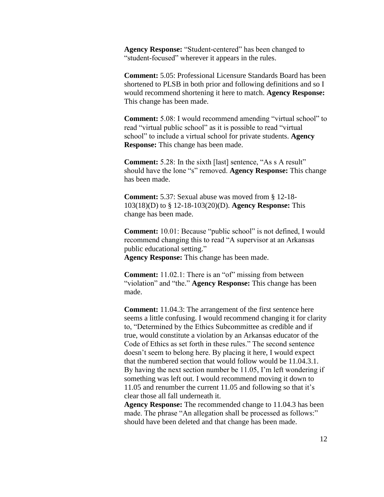**Agency Response:** "Student-centered" has been changed to "student-focused" wherever it appears in the rules.

**Comment:** 5.05: Professional Licensure Standards Board has been shortened to PLSB in both prior and following definitions and so I would recommend shortening it here to match. **Agency Response:** This change has been made.

**Comment:** 5.08: I would recommend amending "virtual school" to read "virtual public school" as it is possible to read "virtual school" to include a virtual school for private students. **Agency Response:** This change has been made.

**Comment:** 5.28: In the sixth [last] sentence, "As s A result" should have the lone "s" removed. **Agency Response:** This change has been made.

**Comment:** 5.37: Sexual abuse was moved from § 12-18- 103(18)(D) to § 12-18-103(20)(D). **Agency Response:** This change has been made.

**Comment:** 10.01: Because "public school" is not defined, I would recommend changing this to read "A supervisor at an Arkansas public educational setting." **Agency Response:** This change has been made.

**Comment:** 11.02.1: There is an "of" missing from between "violation" and "the." **Agency Response:** This change has been made.

**Comment:** 11.04.3: The arrangement of the first sentence here seems a little confusing. I would recommend changing it for clarity to, "Determined by the Ethics Subcommittee as credible and if true, would constitute a violation by an Arkansas educator of the Code of Ethics as set forth in these rules." The second sentence doesn't seem to belong here. By placing it here, I would expect that the numbered section that would follow would be 11.04.3.1. By having the next section number be 11.05, I'm left wondering if something was left out. I would recommend moving it down to 11.05 and renumber the current 11.05 and following so that it's clear those all fall underneath it.

**Agency Response:** The recommended change to 11.04.3 has been made. The phrase "An allegation shall be processed as follows:" should have been deleted and that change has been made.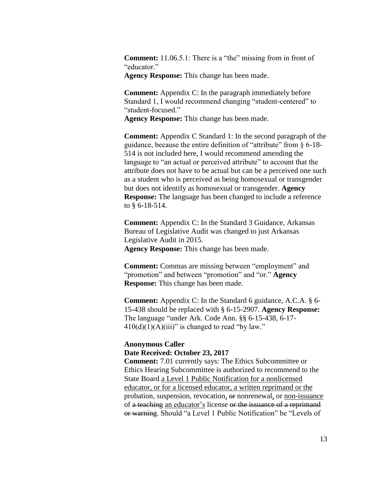**Comment:** 11.06.5.1: There is a "the" missing from in front of "educator."

**Agency Response:** This change has been made.

**Comment:** Appendix C: In the paragraph immediately before Standard 1, I would recommend changing "student-centered" to "student-focused."

**Agency Response:** This change has been made.

**Comment:** Appendix C Standard 1: In the second paragraph of the guidance, because the entire definition of "attribute" from § 6-18- 514 is not included here, I would recommend amending the language to "an actual or perceived attribute" to account that the attribute does not have to be actual but can be a perceived one such as a student who is perceived as being homosexual or transgender but does not identify as homosexual or transgender. **Agency Response:** The language has been changed to include a reference to § 6-18-514.

**Comment:** Appendix C: In the Standard 3 Guidance, Arkansas Bureau of Legislative Audit was changed to just Arkansas Legislative Audit in 2015. **Agency Response:** This change has been made.

**Comment:** Commas are missing between "employment" and "promotion" and between "promotion" and "or." **Agency Response:** This change has been made.

**Comment:** Appendix C: In the Standard 6 guidance, A.C.A. § 6- 15-438 should be replaced with § 6-15-2907. **Agency Response:** The language "under Ark. Code Ann. §§ 6-15-438, 6-17-  $410(d)(1)(A)(iii)$ " is changed to read "by law."

# **Anonymous Caller Date Received: October 23, 2017**

**Comment:** 7.01 currently says: The Ethics Subcommittee or Ethics Hearing Subcommittee is authorized to recommend to the State Board a Level 1 Public Notification for a nonlicensed educator, or for a licensed educator, a written reprimand or the probation, suspension, revocation, or nonrenewal, or non-issuance of a teaching an educator's license or the issuance of a reprimand or warning. Should "a Level 1 Public Notification" be "Levels of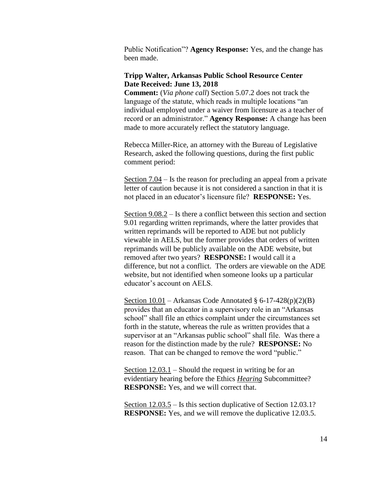Public Notification"? **Agency Response:** Yes, and the change has been made.

# **Tripp Walter, Arkansas Public School Resource Center Date Received: June 13, 2018**

**Comment:** (*Via phone call*) Section 5.07.2 does not track the language of the statute, which reads in multiple locations "an individual employed under a waiver from licensure as a teacher of record or an administrator." **Agency Response:** A change has been made to more accurately reflect the statutory language.

Rebecca Miller-Rice, an attorney with the Bureau of Legislative Research, asked the following questions, during the first public comment period:

Section 7.04 – Is the reason for precluding an appeal from a private letter of caution because it is not considered a sanction in that it is not placed in an educator's licensure file? **RESPONSE:** Yes.

Section 9.08.2 – Is there a conflict between this section and section 9.01 regarding written reprimands, where the latter provides that written reprimands will be reported to ADE but not publicly viewable in AELS, but the former provides that orders of written reprimands will be publicly available on the ADE website, but removed after two years? **RESPONSE:** I would call it a difference, but not a conflict. The orders are viewable on the ADE website, but not identified when someone looks up a particular educator's account on AELS.

Section  $10.01$  – Arkansas Code Annotated § 6-17-428(p)(2)(B) provides that an educator in a supervisory role in an "Arkansas school" shall file an ethics complaint under the circumstances set forth in the statute, whereas the rule as written provides that a supervisor at an "Arkansas public school" shall file. Was there a reason for the distinction made by the rule? **RESPONSE:** No reason. That can be changed to remove the word "public."

Section 12.03.1 – Should the request in writing be for an evidentiary hearing before the Ethics *Hearing* Subcommittee? **RESPONSE:** Yes, and we will correct that.

Section 12.03.5 – Is this section duplicative of Section 12.03.1? **RESPONSE:** Yes, and we will remove the duplicative 12.03.5.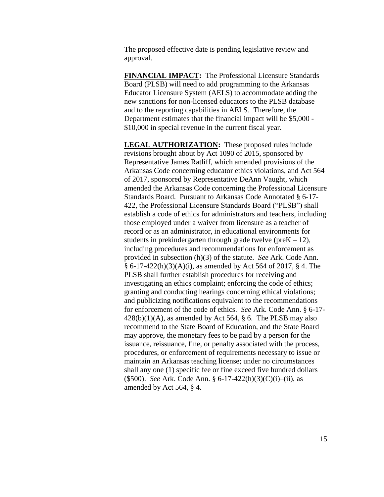The proposed effective date is pending legislative review and approval.

**FINANCIAL IMPACT:** The Professional Licensure Standards Board (PLSB) will need to add programming to the Arkansas Educator Licensure System (AELS) to accommodate adding the new sanctions for non-licensed educators to the PLSB database and to the reporting capabilities in AELS. Therefore, the Department estimates that the financial impact will be \$5,000 - \$10,000 in special revenue in the current fiscal year.

**LEGAL AUTHORIZATION:** These proposed rules include revisions brought about by Act 1090 of 2015, sponsored by Representative James Ratliff, which amended provisions of the Arkansas Code concerning educator ethics violations, and Act 564 of 2017, sponsored by Representative DeAnn Vaught, which amended the Arkansas Code concerning the Professional Licensure Standards Board. Pursuant to Arkansas Code Annotated § 6-17- 422, the Professional Licensure Standards Board ("PLSB") shall establish a code of ethics for administrators and teachers, including those employed under a waiver from licensure as a teacher of record or as an administrator, in educational environments for students in prekindergarten through grade twelve (pre $K - 12$ ), including procedures and recommendations for enforcement as provided in subsection (h)(3) of the statute. *See* Ark. Code Ann. § 6-17-422(h)(3)(A)(i), as amended by Act 564 of 2017, § 4. The PLSB shall further establish procedures for receiving and investigating an ethics complaint; enforcing the code of ethics; granting and conducting hearings concerning ethical violations; and publicizing notifications equivalent to the recommendations for enforcement of the code of ethics. *See* Ark. Code Ann. § 6-17-  $428(b)(1)(A)$ , as amended by Act 564, § 6. The PLSB may also recommend to the State Board of Education, and the State Board may approve, the monetary fees to be paid by a person for the issuance, reissuance, fine, or penalty associated with the process, procedures, or enforcement of requirements necessary to issue or maintain an Arkansas teaching license; under no circumstances shall any one (1) specific fee or fine exceed five hundred dollars (\$500). *See* Ark. Code Ann. § 6-17-422(h)(3)(C)(i)–(ii), as amended by Act 564, § 4.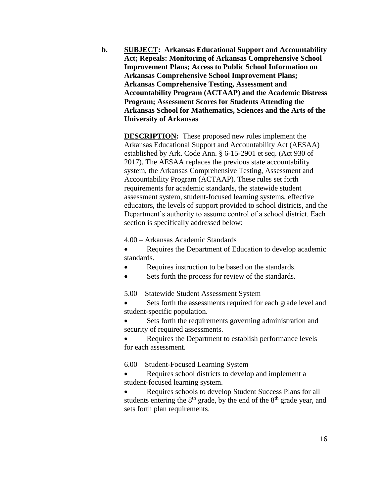**b. SUBJECT: Arkansas Educational Support and Accountability Act; Repeals: Monitoring of Arkansas Comprehensive School Improvement Plans; Access to Public School Information on Arkansas Comprehensive School Improvement Plans; Arkansas Comprehensive Testing, Assessment and Accountability Program (ACTAAP) and the Academic Distress Program; Assessment Scores for Students Attending the Arkansas School for Mathematics, Sciences and the Arts of the University of Arkansas**

> **DESCRIPTION:** These proposed new rules implement the Arkansas Educational Support and Accountability Act (AESAA) established by Ark. Code Ann. § 6-15-2901 et seq. (Act 930 of 2017). The AESAA replaces the previous state accountability system, the Arkansas Comprehensive Testing, Assessment and Accountability Program (ACTAAP). These rules set forth requirements for academic standards, the statewide student assessment system, student-focused learning systems, effective educators, the levels of support provided to school districts, and the Department's authority to assume control of a school district. Each section is specifically addressed below:

4.00 – Arkansas Academic Standards

• Requires the Department of Education to develop academic standards.

- Requires instruction to be based on the standards.
- Sets forth the process for review of the standards.

5.00 – Statewide Student Assessment System

 Sets forth the assessments required for each grade level and student-specific population.

 Sets forth the requirements governing administration and security of required assessments.

 Requires the Department to establish performance levels for each assessment.

6.00 – Student-Focused Learning System

 Requires school districts to develop and implement a student-focused learning system.

 Requires schools to develop Student Success Plans for all students entering the  $8<sup>th</sup>$  grade, by the end of the  $8<sup>th</sup>$  grade year, and sets forth plan requirements.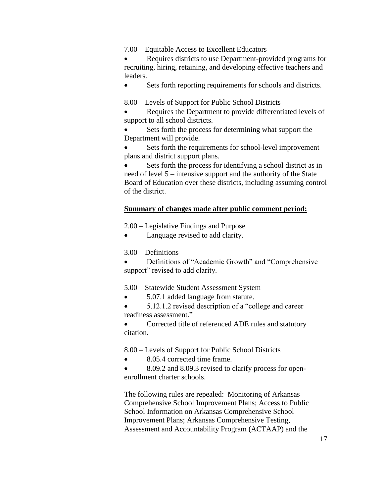7.00 – Equitable Access to Excellent Educators

 Requires districts to use Department-provided programs for recruiting, hiring, retaining, and developing effective teachers and leaders.

Sets forth reporting requirements for schools and districts.

8.00 – Levels of Support for Public School Districts

- Requires the Department to provide differentiated levels of support to all school districts.
- Sets forth the process for determining what support the Department will provide.

 Sets forth the requirements for school-level improvement plans and district support plans.

 Sets forth the process for identifying a school district as in need of level 5 – intensive support and the authority of the State Board of Education over these districts, including assuming control of the district.

### **Summary of changes made after public comment period:**

2.00 – Legislative Findings and Purpose

Language revised to add clarity.

3.00 – Definitions

 Definitions of "Academic Growth" and "Comprehensive support" revised to add clarity.

### 5.00 – Statewide Student Assessment System

5.07.1 added language from statute.

 5.12.1.2 revised description of a "college and career readiness assessment."

 Corrected title of referenced ADE rules and statutory citation.

8.00 – Levels of Support for Public School Districts

- 8.05.4 corrected time frame.
- 8.09.2 and 8.09.3 revised to clarify process for openenrollment charter schools.

The following rules are repealed: Monitoring of Arkansas Comprehensive School Improvement Plans; Access to Public School Information on Arkansas Comprehensive School Improvement Plans; Arkansas Comprehensive Testing, Assessment and Accountability Program (ACTAAP) and the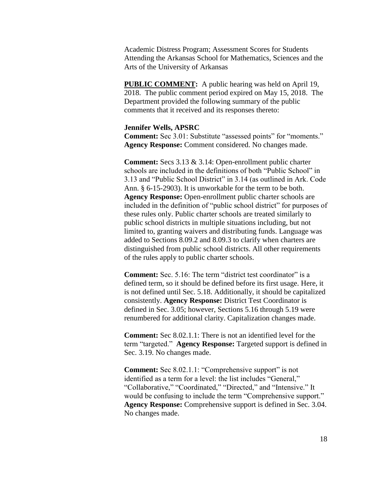Academic Distress Program; Assessment Scores for Students Attending the Arkansas School for Mathematics, Sciences and the Arts of the University of Arkansas

**PUBLIC COMMENT:** A public hearing was held on April 19, 2018. The public comment period expired on May 15, 2018. The Department provided the following summary of the public comments that it received and its responses thereto:

### **Jennifer Wells, APSRC**

**Comment:** Sec 3.01: Substitute "assessed points" for "moments." **Agency Response:** Comment considered. No changes made.

**Comment:** Secs 3.13 & 3.14: Open-enrollment public charter schools are included in the definitions of both "Public School" in 3.13 and "Public School District" in 3.14 (as outlined in Ark. Code Ann. § 6-15-2903). It is unworkable for the term to be both. **Agency Response:** Open-enrollment public charter schools are included in the definition of "public school district" for purposes of these rules only. Public charter schools are treated similarly to public school districts in multiple situations including, but not limited to, granting waivers and distributing funds. Language was added to Sections 8.09.2 and 8.09.3 to clarify when charters are distinguished from public school districts. All other requirements of the rules apply to public charter schools.

**Comment:** Sec. 5.16: The term "district test coordinator" is a defined term, so it should be defined before its first usage. Here, it is not defined until Sec. 5.18. Additionally, it should be capitalized consistently. **Agency Response:** District Test Coordinator is defined in Sec. 3.05; however, Sections 5.16 through 5.19 were renumbered for additional clarity. Capitalization changes made.

**Comment:** Sec 8.02.1.1: There is not an identified level for the term "targeted." **Agency Response:** Targeted support is defined in Sec. 3.19. No changes made.

**Comment:** Sec 8.02.1.1: "Comprehensive support" is not identified as a term for a level: the list includes "General," "Collaborative," "Coordinated," "Directed," and "Intensive." It would be confusing to include the term "Comprehensive support." **Agency Response:** Comprehensive support is defined in Sec. 3.04. No changes made.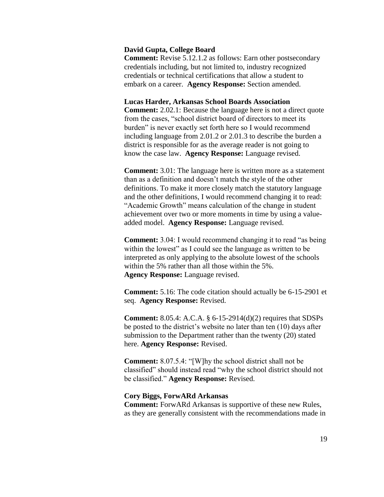### **David Gupta, College Board**

**Comment:** Revise 5.12.1.2 as follows: Earn other postsecondary credentials including, but not limited to, industry recognized credentials or technical certifications that allow a student to embark on a career. **Agency Response:** Section amended.

### **Lucas Harder, Arkansas School Boards Association**

**Comment:** 2.02.1: Because the language here is not a direct quote from the cases, "school district board of directors to meet its burden" is never exactly set forth here so I would recommend including language from 2.01.2 or 2.01.3 to describe the burden a district is responsible for as the average reader is not going to know the case law. **Agency Response:** Language revised.

**Comment:** 3.01: The language here is written more as a statement than as a definition and doesn't match the style of the other definitions. To make it more closely match the statutory language and the other definitions, I would recommend changing it to read: "Academic Growth" means calculation of the change in student achievement over two or more moments in time by using a valueadded model. **Agency Response:** Language revised.

**Comment:** 3.04: I would recommend changing it to read "as being within the lowest" as I could see the language as written to be interpreted as only applying to the absolute lowest of the schools within the 5% rather than all those within the 5%. **Agency Response:** Language revised.

**Comment:** 5.16: The code citation should actually be 6-15-2901 et seq. **Agency Response:** Revised.

**Comment:** 8.05.4: A.C.A. § 6-15-2914(d)(2) requires that SDSPs be posted to the district's website no later than ten (10) days after submission to the Department rather than the twenty (20) stated here. **Agency Response:** Revised.

**Comment:** 8.07.5.4: "[W]hy the school district shall not be classified" should instead read "why the school district should not be classified." **Agency Response:** Revised.

### **Cory Biggs, ForwARd Arkansas**

**Comment:** ForwARd Arkansas is supportive of these new Rules, as they are generally consistent with the recommendations made in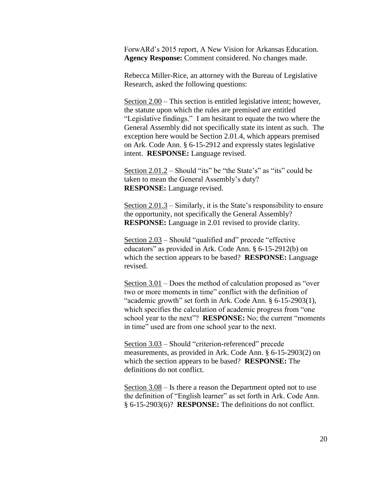ForwARd's 2015 report, A New Vision for Arkansas Education. **Agency Response:** Comment considered. No changes made.

Rebecca Miller-Rice, an attorney with the Bureau of Legislative Research, asked the following questions:

Section 2.00 – This section is entitled legislative intent; however, the statute upon which the rules are premised are entitled "Legislative findings." I am hesitant to equate the two where the General Assembly did not specifically state its intent as such. The exception here would be Section 2.01.4, which appears premised on Ark. Code Ann. § 6-15-2912 and expressly states legislative intent. **RESPONSE:** Language revised.

Section 2.01.2 – Should "its" be "the State's" as "its" could be taken to mean the General Assembly's duty? **RESPONSE:** Language revised.

Section 2.01.3 – Similarly, it is the State's responsibility to ensure the opportunity, not specifically the General Assembly? **RESPONSE:** Language in 2.01 revised to provide clarity.

Section 2.03 – Should "qualified and" precede "effective educators" as provided in Ark. Code Ann. § 6-15-2912(b) on which the section appears to be based? **RESPONSE:** Language revised.

Section 3.01 – Does the method of calculation proposed as "over two or more moments in time" conflict with the definition of "academic growth" set forth in Ark. Code Ann. § 6-15-2903(1), which specifies the calculation of academic progress from "one school year to the next"? **RESPONSE:** No; the current "moments in time" used are from one school year to the next.

Section 3.03 – Should "criterion-referenced" precede measurements, as provided in Ark. Code Ann. § 6-15-2903(2) on which the section appears to be based? **RESPONSE:** The definitions do not conflict.

Section 3.08 – Is there a reason the Department opted not to use the definition of "English learner" as set forth in Ark. Code Ann. § 6-15-2903(6)? **RESPONSE:** The definitions do not conflict.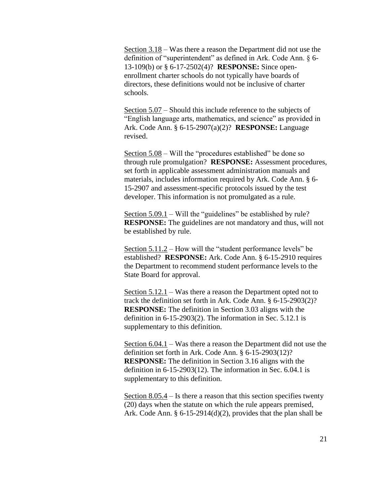Section 3.18 – Was there a reason the Department did not use the definition of "superintendent" as defined in Ark. Code Ann. § 6- 13-109(b) or § 6-17-2502(4)? **RESPONSE:** Since openenrollment charter schools do not typically have boards of directors, these definitions would not be inclusive of charter schools.

Section 5.07 – Should this include reference to the subjects of "English language arts, mathematics, and science" as provided in Ark. Code Ann. § 6-15-2907(a)(2)? **RESPONSE:** Language revised.

Section 5.08 – Will the "procedures established" be done so through rule promulgation? **RESPONSE:** Assessment procedures, set forth in applicable assessment administration manuals and materials, includes information required by Ark. Code Ann. § 6- 15-2907 and assessment-specific protocols issued by the test developer. This information is not promulgated as a rule.

Section 5.09.1 – Will the "guidelines" be established by rule? **RESPONSE:** The guidelines are not mandatory and thus, will not be established by rule.

Section 5.11.2 – How will the "student performance levels" be established? **RESPONSE:** Ark. Code Ann. § 6-15-2910 requires the Department to recommend student performance levels to the State Board for approval.

Section 5.12.1 – Was there a reason the Department opted not to track the definition set forth in Ark. Code Ann. § 6-15-2903(2)? **RESPONSE:** The definition in Section 3.03 aligns with the definition in 6-15-2903(2). The information in Sec. 5.12.1 is supplementary to this definition.

Section 6.04.1 – Was there a reason the Department did not use the definition set forth in Ark. Code Ann. § 6-15-2903(12)? **RESPONSE:** The definition in Section 3.16 aligns with the definition in 6-15-2903(12). The information in Sec. 6.04.1 is supplementary to this definition.

Section  $8.05.4$  – Is there a reason that this section specifies twenty (20) days when the statute on which the rule appears premised, Ark. Code Ann. § 6-15-2914(d)(2), provides that the plan shall be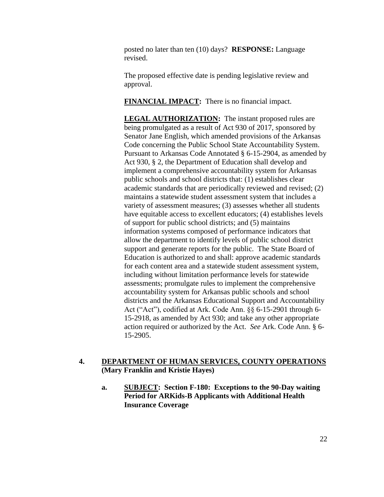posted no later than ten (10) days? **RESPONSE:** Language revised.

The proposed effective date is pending legislative review and approval.

**FINANCIAL IMPACT:** There is no financial impact.

**LEGAL AUTHORIZATION:** The instant proposed rules are being promulgated as a result of Act 930 of 2017, sponsored by Senator Jane English, which amended provisions of the Arkansas Code concerning the Public School State Accountability System. Pursuant to Arkansas Code Annotated § 6-15-2904, as amended by Act 930, § 2, the Department of Education shall develop and implement a comprehensive accountability system for Arkansas public schools and school districts that: (1) establishes clear academic standards that are periodically reviewed and revised; (2) maintains a statewide student assessment system that includes a variety of assessment measures; (3) assesses whether all students have equitable access to excellent educators; (4) establishes levels of support for public school districts; and (5) maintains information systems composed of performance indicators that allow the department to identify levels of public school district support and generate reports for the public. The State Board of Education is authorized to and shall: approve academic standards for each content area and a statewide student assessment system, including without limitation performance levels for statewide assessments; promulgate rules to implement the comprehensive accountability system for Arkansas public schools and school districts and the Arkansas Educational Support and Accountability Act ("Act"), codified at Ark. Code Ann. §§ 6-15-2901 through 6- 15-2918, as amended by Act 930; and take any other appropriate action required or authorized by the Act. *See* Ark. Code Ann. § 6- 15-2905.

# **4. DEPARTMENT OF HUMAN SERVICES, COUNTY OPERATIONS (Mary Franklin and Kristie Hayes)**

**a. SUBJECT: Section F-180: Exceptions to the 90-Day waiting Period for ARKids-B Applicants with Additional Health Insurance Coverage**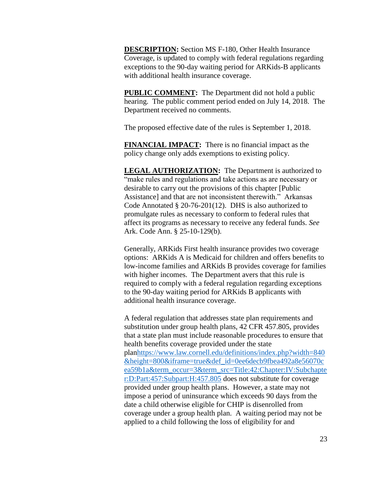**DESCRIPTION:** Section MS F-180, Other Health Insurance Coverage, is updated to comply with federal regulations regarding exceptions to the 90-day waiting period for ARKids-B applicants with additional health insurance coverage.

**PUBLIC COMMENT:** The Department did not hold a public hearing. The public comment period ended on July 14, 2018. The Department received no comments.

The proposed effective date of the rules is September 1, 2018.

**FINANCIAL IMPACT:** There is no financial impact as the policy change only adds exemptions to existing policy.

**LEGAL AUTHORIZATION:** The Department is authorized to "make rules and regulations and take actions as are necessary or desirable to carry out the provisions of this chapter [Public Assistance] and that are not inconsistent therewith." Arkansas Code Annotated § 20-76-201(12). DHS is also authorized to promulgate rules as necessary to conform to federal rules that affect its programs as necessary to receive any federal funds. *See* Ark. Code Ann. § 25-10-129(b).

Generally, ARKids First health insurance provides two coverage options: ARKids A is Medicaid for children and offers benefits to low-income families and ARKids B provides coverage for families with higher incomes. The Department avers that this rule is required to comply with a federal regulation regarding exceptions to the 90-day waiting period for ARKids B applicants with additional health insurance coverage.

A federal regulation that addresses state plan requirements and substitution under group health plans, 42 CFR 457.805, provides that a state plan must include reasonable procedures to ensure that [health benefits coverage](https://www.law.cornell.edu/definitions/index.php?width=840&height=800&iframe=true&def_id=4abaf4d005b58af8a176d9076704c3cb&term_occur=1&term_src=Title:42:Chapter:IV:Subchapter:D:Part:457:Subpart:H:457.805) provided under the state pla[nhttps://www.law.cornell.edu/definitions/index.php?width=840](https://www.law.cornell.edu/definitions/index.php?width=840&height=800&iframe=true&def_id=0ee6decb9fbea492a8e56070cea59b1a&term_occur=3&term_src=Title:42:Chapter:IV:Subchapter:D:Part:457:Subpart:H:457.805) [&height=800&iframe=true&def\\_id=0ee6decb9fbea492a8e56070c](https://www.law.cornell.edu/definitions/index.php?width=840&height=800&iframe=true&def_id=0ee6decb9fbea492a8e56070cea59b1a&term_occur=3&term_src=Title:42:Chapter:IV:Subchapter:D:Part:457:Subpart:H:457.805) [ea59b1a&term\\_occur=3&term\\_src=Title:42:Chapter:IV:Subchapte](https://www.law.cornell.edu/definitions/index.php?width=840&height=800&iframe=true&def_id=0ee6decb9fbea492a8e56070cea59b1a&term_occur=3&term_src=Title:42:Chapter:IV:Subchapter:D:Part:457:Subpart:H:457.805) [r:D:Part:457:Subpart:H:457.805](https://www.law.cornell.edu/definitions/index.php?width=840&height=800&iframe=true&def_id=0ee6decb9fbea492a8e56070cea59b1a&term_occur=3&term_src=Title:42:Chapter:IV:Subchapter:D:Part:457:Subpart:H:457.805) does not substitute for coverage provided under group health plans. However, a [state](https://www.law.cornell.edu/definitions/index.php?width=840&height=800&iframe=true&def_id=2b7cecdb6412b2da71f6d32af778dd6b&term_occur=1&term_src=Title:42:Chapter:IV:Subchapter:D:Part:457:Subpart:H:457.805) may not impose a period of uninsurance which exceeds 90 days from the date a [child](https://www.law.cornell.edu/definitions/index.php?width=840&height=800&iframe=true&def_id=1cfbf6a737a27bb3630e3bbdc4a63aa2&term_occur=1&term_src=Title:42:Chapter:IV:Subchapter:D:Part:457:Subpart:H:457.805) otherwise eligible for [CHIP](https://www.law.cornell.edu/definitions/index.php?width=840&height=800&iframe=true&def_id=1b39e510c57226ee4b6b3980cfd96fd7&term_occur=1&term_src=Title:42:Chapter:IV:Subchapter:D:Part:457:Subpart:H:457.805) is disenrolled from coverage under a group health plan. A waiting period may not be applied to a [child](https://www.law.cornell.edu/definitions/index.php?width=840&height=800&iframe=true&def_id=1cfbf6a737a27bb3630e3bbdc4a63aa2&term_occur=2&term_src=Title:42:Chapter:IV:Subchapter:D:Part:457:Subpart:H:457.805) following the loss of [eligibility](https://www.law.cornell.edu/definitions/index.php?width=840&height=800&iframe=true&def_id=b4c4b815aa59e3c17a2b0fa5c09d4c79&term_occur=1&term_src=Title:42:Chapter:IV:Subchapter:D:Part:457:Subpart:H:457.805) for and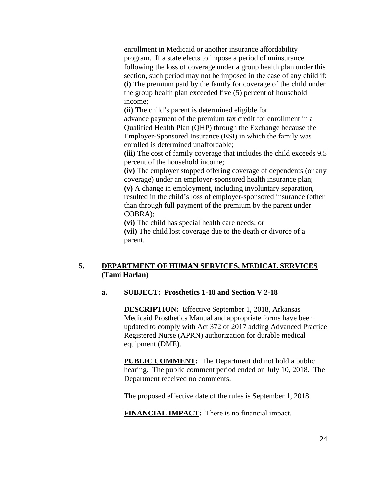enrollment in [Medicaid](https://www.law.cornell.edu/definitions/index.php?width=840&height=800&iframe=true&def_id=0e504496534ec33a1f9a4f95c7a8fa57&term_occur=1&term_src=Title:42:Chapter:IV:Subchapter:D:Part:457:Subpart:H:457.805) or another [insurance affordability](https://www.law.cornell.edu/definitions/index.php?width=840&height=800&iframe=true&def_id=fdc1c65a51ba2c4e2446b0ff6dbbdd38&term_occur=1&term_src=Title:42:Chapter:IV:Subchapter:D:Part:457:Subpart:H:457.805)  [program.](https://www.law.cornell.edu/definitions/index.php?width=840&height=800&iframe=true&def_id=fdc1c65a51ba2c4e2446b0ff6dbbdd38&term_occur=1&term_src=Title:42:Chapter:IV:Subchapter:D:Part:457:Subpart:H:457.805) If a [state](https://www.law.cornell.edu/definitions/index.php?width=840&height=800&iframe=true&def_id=2b7cecdb6412b2da71f6d32af778dd6b&term_occur=2&term_src=Title:42:Chapter:IV:Subchapter:D:Part:457:Subpart:H:457.805) elects to impose a period of uninsurance following the loss of coverage under a group health plan under this section, such period may not be imposed in the case of any [child](https://www.law.cornell.edu/definitions/index.php?width=840&height=800&iframe=true&def_id=1cfbf6a737a27bb3630e3bbdc4a63aa2&term_occur=3&term_src=Title:42:Chapter:IV:Subchapter:D:Part:457:Subpart:H:457.805) if: **(i)** The premium paid by the family for coverage of the [child](https://www.law.cornell.edu/definitions/index.php?width=840&height=800&iframe=true&def_id=1cfbf6a737a27bb3630e3bbdc4a63aa2&term_occur=4&term_src=Title:42:Chapter:IV:Subchapter:D:Part:457:Subpart:H:457.805) under the group health plan exceeded five (5) percent of [household](https://www.law.cornell.edu/definitions/index.php?width=840&height=800&iframe=true&def_id=317c1894b703b4a99060b59cacf6ba4d&term_occur=1&term_src=Title:42:Chapter:IV:Subchapter:D:Part:457:Subpart:H:457.805)  [income;](https://www.law.cornell.edu/definitions/index.php?width=840&height=800&iframe=true&def_id=317c1894b703b4a99060b59cacf6ba4d&term_occur=1&term_src=Title:42:Chapter:IV:Subchapter:D:Part:457:Subpart:H:457.805)

**(ii)** The [child'](https://www.law.cornell.edu/definitions/index.php?width=840&height=800&iframe=true&def_id=1cfbf6a737a27bb3630e3bbdc4a63aa2&term_occur=5&term_src=Title:42:Chapter:IV:Subchapter:D:Part:457:Subpart:H:457.805)s parent is determined eligible for

advance [payment](https://www.law.cornell.edu/definitions/index.php?width=840&height=800&iframe=true&def_id=d66239b6cfc874cf42f9ff1eaaccf349&term_occur=1&term_src=Title:42:Chapter:IV:Subchapter:D:Part:457:Subpart:H:457.805) of the premium tax credit for enrollment in a Qualified Health Plan (QHP) through the Exchange because the Employer-Sponsored Insurance (ESI) in which the family was enrolled is determined unaffordable;

**(iii)** The cost of family coverage that includes the [child](https://www.law.cornell.edu/definitions/index.php?width=840&height=800&iframe=true&def_id=1cfbf6a737a27bb3630e3bbdc4a63aa2&term_occur=6&term_src=Title:42:Chapter:IV:Subchapter:D:Part:457:Subpart:H:457.805) exceeds 9.5 percent of the [household income;](https://www.law.cornell.edu/definitions/index.php?width=840&height=800&iframe=true&def_id=317c1894b703b4a99060b59cacf6ba4d&term_occur=2&term_src=Title:42:Chapter:IV:Subchapter:D:Part:457:Subpart:H:457.805)

**(iv)** The employer stopped offering coverage of dependents (or any coverage) under an employer-sponsored health insurance plan; **(v)** A change in employment, including involuntary separation, resulted in the [child'](https://www.law.cornell.edu/definitions/index.php?width=840&height=800&iframe=true&def_id=1cfbf6a737a27bb3630e3bbdc4a63aa2&term_occur=7&term_src=Title:42:Chapter:IV:Subchapter:D:Part:457:Subpart:H:457.805)s loss of employer-sponsored insurance (other than through full [payment](https://www.law.cornell.edu/definitions/index.php?width=840&height=800&iframe=true&def_id=d66239b6cfc874cf42f9ff1eaaccf349&term_occur=2&term_src=Title:42:Chapter:IV:Subchapter:D:Part:457:Subpart:H:457.805) of the premium by the parent under COBRA);

**(vi)** The [child](https://www.law.cornell.edu/definitions/index.php?width=840&height=800&iframe=true&def_id=1cfbf6a737a27bb3630e3bbdc4a63aa2&term_occur=8&term_src=Title:42:Chapter:IV:Subchapter:D:Part:457:Subpart:H:457.805) has special health care needs; or

**(vii)** The [child](https://www.law.cornell.edu/definitions/index.php?width=840&height=800&iframe=true&def_id=1cfbf6a737a27bb3630e3bbdc4a63aa2&term_occur=9&term_src=Title:42:Chapter:IV:Subchapter:D:Part:457:Subpart:H:457.805) lost coverage due to the death or divorce of a parent.

# **5. DEPARTMENT OF HUMAN SERVICES, MEDICAL SERVICES (Tami Harlan)**

# **a. SUBJECT: Prosthetics 1-18 and Section V 2-18**

**DESCRIPTION:** Effective September 1, 2018, Arkansas Medicaid Prosthetics Manual and appropriate forms have been updated to comply with Act 372 of 2017 adding Advanced Practice Registered Nurse (APRN) authorization for durable medical equipment (DME).

**PUBLIC COMMENT:** The Department did not hold a public hearing. The public comment period ended on July 10, 2018. The Department received no comments.

The proposed effective date of the rules is September 1, 2018.

**FINANCIAL IMPACT:** There is no financial impact.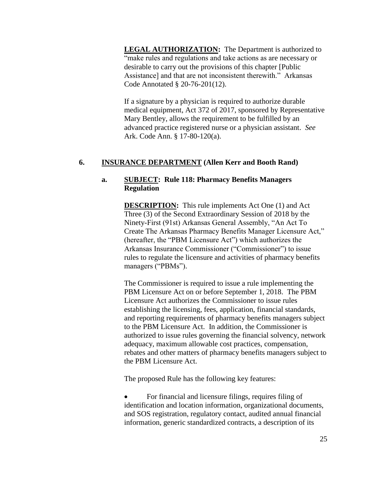**LEGAL AUTHORIZATION:** The Department is authorized to "make rules and regulations and take actions as are necessary or desirable to carry out the provisions of this chapter [Public Assistance] and that are not inconsistent therewith." Arkansas Code Annotated § 20-76-201(12).

If a signature by a physician is required to authorize durable medical equipment, Act 372 of 2017, sponsored by Representative Mary Bentley, allows the requirement to be fulfilled by an advanced practice registered nurse or a physician assistant. *See* Ark. Code Ann. § 17-80-120(a).

# **6. INSURANCE DEPARTMENT (Allen Kerr and Booth Rand)**

# **a. SUBJECT: Rule 118: Pharmacy Benefits Managers Regulation**

**DESCRIPTION:** This rule implements Act One (1) and Act Three (3) of the Second Extraordinary Session of 2018 by the Ninety-First (91st) Arkansas General Assembly, "An Act To Create The Arkansas Pharmacy Benefits Manager Licensure Act," (hereafter, the "PBM Licensure Act") which authorizes the Arkansas Insurance Commissioner ("Commissioner") to issue rules to regulate the licensure and activities of pharmacy benefits managers ("PBMs").

The Commissioner is required to issue a rule implementing the PBM Licensure Act on or before September 1, 2018. The PBM Licensure Act authorizes the Commissioner to issue rules establishing the licensing, fees, application, financial standards, and reporting requirements of pharmacy benefits managers subject to the PBM Licensure Act. In addition, the Commissioner is authorized to issue rules governing the financial solvency, network adequacy, maximum allowable cost practices, compensation, rebates and other matters of pharmacy benefits managers subject to the PBM Licensure Act.

The proposed Rule has the following key features:

 For financial and licensure filings, requires filing of identification and location information, organizational documents, and SOS registration, regulatory contact, audited annual financial information, generic standardized contracts, a description of its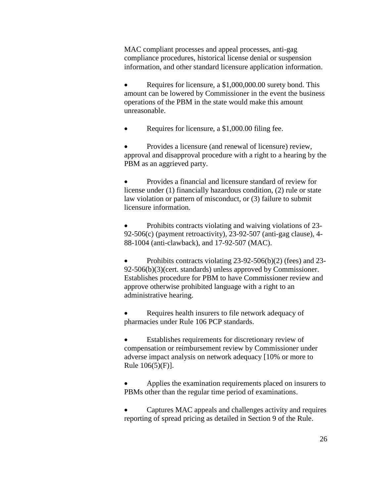MAC compliant processes and appeal processes, anti-gag compliance procedures, historical license denial or suspension information, and other standard licensure application information.

• Requires for licensure, a \$1,000,000.00 surety bond. This amount can be lowered by Commissioner in the event the business operations of the PBM in the state would make this amount unreasonable.

Requires for licensure, a \$1,000.00 filing fee.

 Provides a licensure (and renewal of licensure) review, approval and disapproval procedure with a right to a hearing by the PBM as an aggrieved party.

 Provides a financial and licensure standard of review for license under (1) financially hazardous condition, (2) rule or state law violation or pattern of misconduct, or (3) failure to submit licensure information.

 Prohibits contracts violating and waiving violations of 23- 92-506(c) (payment retroactivity), 23-92-507 (anti-gag clause), 4- 88-1004 (anti-clawback), and 17-92-507 (MAC).

 Prohibits contracts violating 23-92-506(b)(2) (fees) and 23- 92-506(b)(3)(cert. standards) unless approved by Commissioner. Establishes procedure for PBM to have Commissioner review and approve otherwise prohibited language with a right to an administrative hearing.

 Requires health insurers to file network adequacy of pharmacies under Rule 106 PCP standards.

 Establishes requirements for discretionary review of compensation or reimbursement review by Commissioner under adverse impact analysis on network adequacy [10% or more to Rule 106(5)(F)].

 Applies the examination requirements placed on insurers to PBMs other than the regular time period of examinations.

 Captures MAC appeals and challenges activity and requires reporting of spread pricing as detailed in Section 9 of the Rule.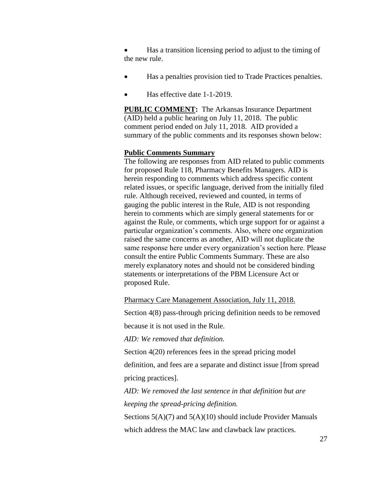Has a transition licensing period to adjust to the timing of the new rule.

- Has a penalties provision tied to Trade Practices penalties.
- Has effective date 1-1-2019.

**PUBLIC COMMENT:** The Arkansas Insurance Department (AID) held a public hearing on July 11, 2018. The public comment period ended on July 11, 2018. AID provided a summary of the public comments and its responses shown below:

### **Public Comments Summary**

The following are responses from AID related to public comments for proposed Rule 118, Pharmacy Benefits Managers. AID is herein responding to comments which address specific content related issues, or specific language, derived from the initially filed rule. Although received, reviewed and counted, in terms of gauging the public interest in the Rule, AID is not responding herein to comments which are simply general statements for or against the Rule, or comments, which urge support for or against a particular organization's comments. Also, where one organization raised the same concerns as another, AID will not duplicate the same response here under every organization's section here. Please consult the entire Public Comments Summary. These are also merely explanatory notes and should not be considered binding statements or interpretations of the PBM Licensure Act or proposed Rule.

Pharmacy Care Management Association, July 11, 2018.

Section 4(8) pass-through pricing definition needs to be removed

because it is not used in the Rule.

*AID: We removed that definition.*

Section  $4(20)$  references fees in the spread pricing model

definition, and fees are a separate and distinct issue [from spread pricing practices].

*AID: We removed the last sentence in that definition but are keeping the spread-pricing definition.*

Sections  $5(A)(7)$  and  $5(A)(10)$  should include Provider Manuals which address the MAC law and clawback law practices.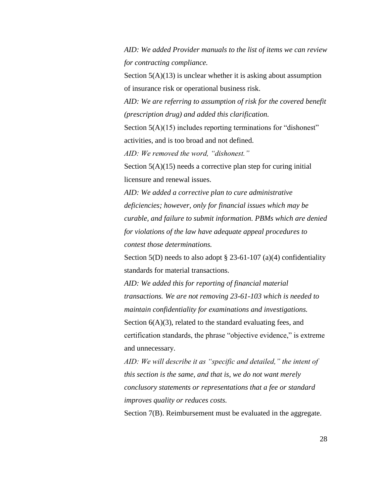*AID: We added Provider manuals to the list of items we can review for contracting compliance.* 

Section  $5(A)(13)$  is unclear whether it is asking about assumption of insurance risk or operational business risk.

*AID: We are referring to assumption of risk for the covered benefit (prescription drug) and added this clarification.*

Section 5(A)(15) includes reporting terminations for "dishonest" activities, and is too broad and not defined.

*AID: We removed the word, "dishonest."* 

Section 5(A)(15) needs a corrective plan step for curing initial licensure and renewal issues.

*AID: We added a corrective plan to cure administrative deficiencies; however, only for financial issues which may be curable, and failure to submit information. PBMs which are denied for violations of the law have adequate appeal procedures to contest those determinations.*

Section 5(D) needs to also adopt  $\S$  23-61-107 (a)(4) confidentiality standards for material transactions.

*AID: We added this for reporting of financial material transactions. We are not removing 23-61-103 which is needed to maintain confidentiality for examinations and investigations.*  Section  $6(A)(3)$ , related to the standard evaluating fees, and certification standards, the phrase "objective evidence," is extreme and unnecessary.

*AID: We will describe it as "specific and detailed," the intent of this section is the same, and that is, we do not want merely conclusory statements or representations that a fee or standard improves quality or reduces costs.*

Section 7(B). Reimbursement must be evaluated in the aggregate.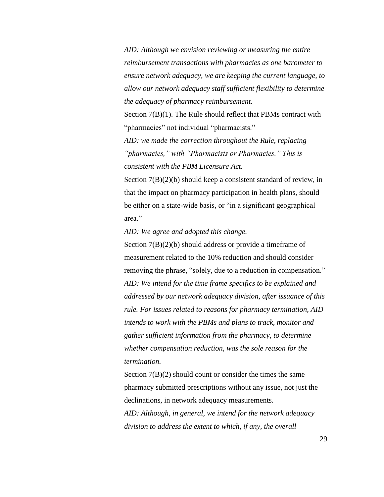*AID: Although we envision reviewing or measuring the entire reimbursement transactions with pharmacies as one barometer to ensure network adequacy, we are keeping the current language, to allow our network adequacy staff sufficient flexibility to determine the adequacy of pharmacy reimbursement.* 

Section 7(B)(1). The Rule should reflect that PBMs contract with "pharmacies" not individual "pharmacists."

*AID: we made the correction throughout the Rule, replacing "pharmacies," with "Pharmacists or Pharmacies." This is consistent with the PBM Licensure Act.* 

Section  $7(B)(2)(b)$  should keep a consistent standard of review, in that the impact on pharmacy participation in health plans, should be either on a state-wide basis, or "in a significant geographical area."

*AID: We agree and adopted this change.* 

Section 7(B)(2)(b) should address or provide a timeframe of measurement related to the 10% reduction and should consider removing the phrase, "solely, due to a reduction in compensation." *AID: We intend for the time frame specifics to be explained and addressed by our network adequacy division, after issuance of this rule. For issues related to reasons for pharmacy termination, AID intends to work with the PBMs and plans to track, monitor and gather sufficient information from the pharmacy, to determine whether compensation reduction, was the sole reason for the termination.*

Section  $7(B)(2)$  should count or consider the times the same pharmacy submitted prescriptions without any issue, not just the declinations, in network adequacy measurements. *AID: Although, in general, we intend for the network adequacy* 

*division to address the extent to which, if any, the overall*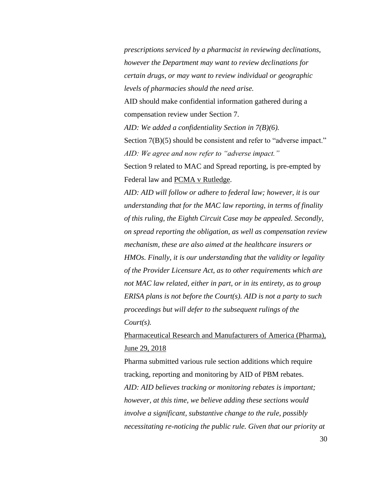*prescriptions serviced by a pharmacist in reviewing declinations, however the Department may want to review declinations for certain drugs, or may want to review individual or geographic levels of pharmacies should the need arise.*

AID should make confidential information gathered during a compensation review under Section 7.

*AID: We added a confidentiality Section in 7(B)(6).*

Section 7(B)(5) should be consistent and refer to "adverse impact." *AID: We agree and now refer to "adverse impact."*

Section 9 related to MAC and Spread reporting, is pre-empted by Federal law and PCMA v Rutledge.

*AID: AID will follow or adhere to federal law; however, it is our understanding that for the MAC law reporting, in terms of finality of this ruling, the Eighth Circuit Case may be appealed. Secondly, on spread reporting the obligation, as well as compensation review mechanism, these are also aimed at the healthcare insurers or HMOs. Finally, it is our understanding that the validity or legality of the Provider Licensure Act, as to other requirements which are not MAC law related, either in part, or in its entirety, as to group ERISA plans is not before the Court(s). AID is not a party to such proceedings but will defer to the subsequent rulings of the Court(s).*

Pharmaceutical Research and Manufacturers of America (Pharma), June 29, 2018

Pharma submitted various rule section additions which require tracking, reporting and monitoring by AID of PBM rebates. *AID: AID believes tracking or monitoring rebates is important; however, at this time, we believe adding these sections would involve a significant, substantive change to the rule, possibly necessitating re-noticing the public rule. Given that our priority at*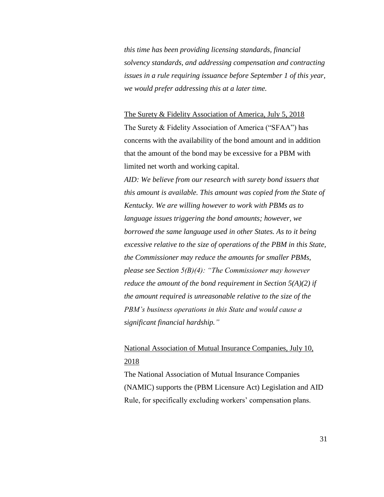*this time has been providing licensing standards, financial solvency standards, and addressing compensation and contracting issues in a rule requiring issuance before September 1 of this year, we would prefer addressing this at a later time.*

The Surety & Fidelity Association of America, July 5, 2018 The Surety & Fidelity Association of America ("SFAA") has concerns with the availability of the bond amount and in addition that the amount of the bond may be excessive for a PBM with limited net worth and working capital.

*AID: We believe from our research with surety bond issuers that this amount is available. This amount was copied from the State of Kentucky. We are willing however to work with PBMs as to language issues triggering the bond amounts; however, we borrowed the same language used in other States. As to it being excessive relative to the size of operations of the PBM in this State, the Commissioner may reduce the amounts for smaller PBMs, please see Section 5(B)(4): "The Commissioner may however reduce the amount of the bond requirement in Section 5(A)(2) if the amount required is unreasonable relative to the size of the PBM's business operations in this State and would cause a significant financial hardship."*

# National Association of Mutual Insurance Companies, July 10, 2018

The National Association of Mutual Insurance Companies (NAMIC) supports the (PBM Licensure Act) Legislation and AID Rule, for specifically excluding workers' compensation plans.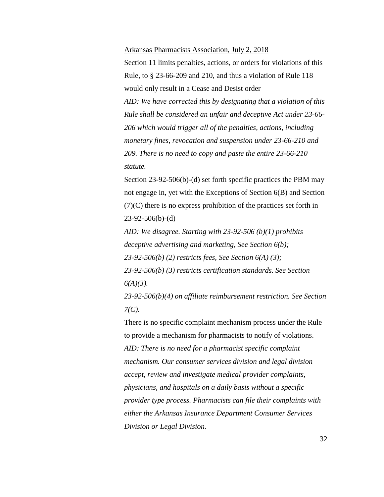#### Arkansas Pharmacists Association, July 2, 2018

Section 11 limits penalties, actions, or orders for violations of this Rule, to § 23-66-209 and 210, and thus a violation of Rule 118 would only result in a Cease and Desist order

*AID: We have corrected this by designating that a violation of this Rule shall be considered an unfair and deceptive Act under 23-66- 206 which would trigger all of the penalties, actions, including monetary fines, revocation and suspension under 23-66-210 and 209. There is no need to copy and paste the entire 23-66-210 statute.*

Section 23-92-506(b)-(d) set forth specific practices the PBM may not engage in, yet with the Exceptions of Section 6(B) and Section (7)(C) there is no express prohibition of the practices set forth in 23-92-506(b)-(d)

*AID: We disagree. Starting with 23-92-506 (b)(1) prohibits deceptive advertising and marketing, See Section 6(b); 23-92-506(b) (2) restricts fees, See Section 6(A) (3); 23-92-506(b) (3) restricts certification standards. See Section 6(A)(3).* 

*23-92-506(b)(4) on affiliate reimbursement restriction. See Section 7(C).*

There is no specific complaint mechanism process under the Rule to provide a mechanism for pharmacists to notify of violations. *AID: There is no need for a pharmacist specific complaint mechanism. Our consumer services division and legal division accept, review and investigate medical provider complaints, physicians, and hospitals on a daily basis without a specific provider type process. Pharmacists can file their complaints with either the Arkansas Insurance Department Consumer Services Division or Legal Division.*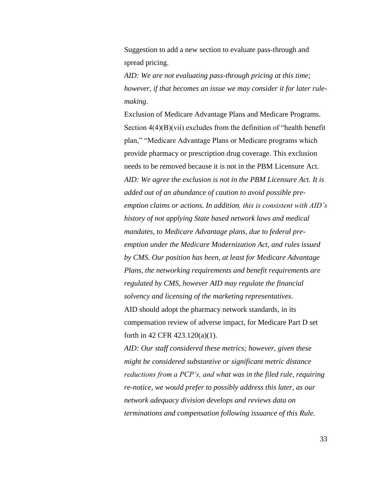Suggestion to add a new section to evaluate pass-through and spread pricing.

*AID: We are not evaluating pass-through pricing at this time; however, if that becomes an issue we may consider it for later rulemaking.* 

Exclusion of Medicare Advantage Plans and Medicare Programs. Section  $4(4)(B)(vii)$  excludes from the definition of "health benefit" plan," "Medicare Advantage Plans or Medicare programs which provide pharmacy or prescription drug coverage. This exclusion needs to be removed because it is not in the PBM Licensure Act. *AID: We agree the exclusion is not in the PBM Licensure Act. It is added out of an abundance of caution to avoid possible preemption claims or actions. In addition, this is consistent with AID's history of not applying State based network laws and medical mandates, to Medicare Advantage plans, due to federal preemption under the Medicare Modernization Act, and rules issued by CMS. Our position has been, at least for Medicare Advantage Plans, the networking requirements and benefit requirements are regulated by CMS, however AID may regulate the financial solvency and licensing of the marketing representatives.*  AID should adopt the pharmacy network standards, in its compensation review of adverse impact, for Medicare Part D set forth in 42 CFR 423.120(a)(1).

*AID: Our staff considered these metrics; however, given these might be considered substantive or significant metric distance reductions from a PCP's, and what was in the filed rule, requiring re-notice, we would prefer to possibly address this later, as our network adequacy division develops and reviews data on terminations and compensation following issuance of this Rule.*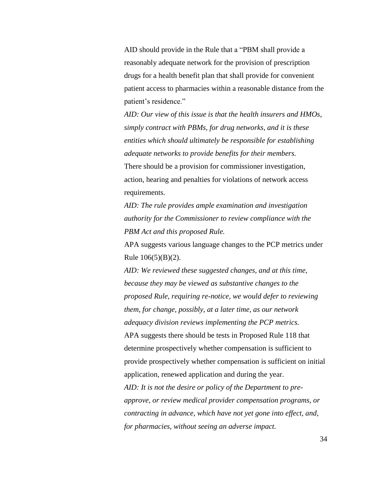AID should provide in the Rule that a "PBM shall provide a reasonably adequate network for the provision of prescription drugs for a health benefit plan that shall provide for convenient patient access to pharmacies within a reasonable distance from the patient's residence."

*AID: Our view of this issue is that the health insurers and HMOs, simply contract with PBMs, for drug networks, and it is these entities which should ultimately be responsible for establishing adequate networks to provide benefits for their members.*  There should be a provision for commissioner investigation, action, hearing and penalties for violations of network access requirements.

*AID: The rule provides ample examination and investigation authority for the Commissioner to review compliance with the PBM Act and this proposed Rule.*

APA suggests various language changes to the PCP metrics under Rule 106(5)(B)(2).

*AID: We reviewed these suggested changes, and at this time, because they may be viewed as substantive changes to the proposed Rule, requiring re-notice, we would defer to reviewing them, for change, possibly, at a later time, as our network adequacy division reviews implementing the PCP metrics.*  APA suggests there should be tests in Proposed Rule 118 that determine prospectively whether compensation is sufficient to provide prospectively whether compensation is sufficient on initial application, renewed application and during the year. *AID: It is not the desire or policy of the Department to preapprove, or review medical provider compensation programs, or contracting in advance, which have not yet gone into effect, and, for pharmacies, without seeing an adverse impact.*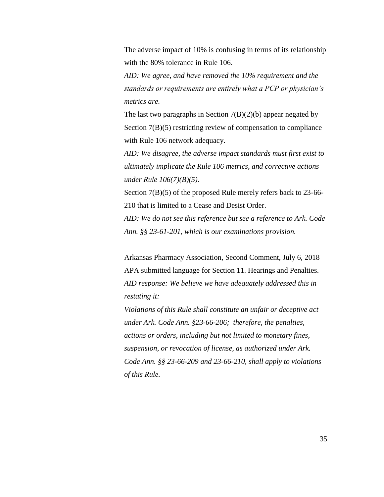The adverse impact of 10% is confusing in terms of its relationship with the 80% tolerance in Rule 106.

*AID: We agree, and have removed the 10% requirement and the standards or requirements are entirely what a PCP or physician's metrics are.* 

The last two paragraphs in Section  $7(B)(2)(b)$  appear negated by Section 7(B)(5) restricting review of compensation to compliance with Rule 106 network adequacy.

*AID: We disagree, the adverse impact standards must first exist to ultimately implicate the Rule 106 metrics, and corrective actions under Rule 106(7)(B)(5).*

Section 7(B)(5) of the proposed Rule merely refers back to 23-66- 210 that is limited to a Cease and Desist Order.

*AID: We do not see this reference but see a reference to Ark. Code Ann. §§ 23-61-201, which is our examinations provision.*

Arkansas Pharmacy Association, Second Comment, July 6, 2018 APA submitted language for Section 11. Hearings and Penalties. *AID response: We believe we have adequately addressed this in restating it:*

*Violations of this Rule shall constitute an unfair or deceptive act under Ark. Code Ann. §23-66-206; therefore, the penalties, actions or orders, including but not limited to monetary fines, suspension, or revocation of license, as authorized under Ark. Code Ann. §§ 23-66-209 and 23-66-210, shall apply to violations of this Rule.*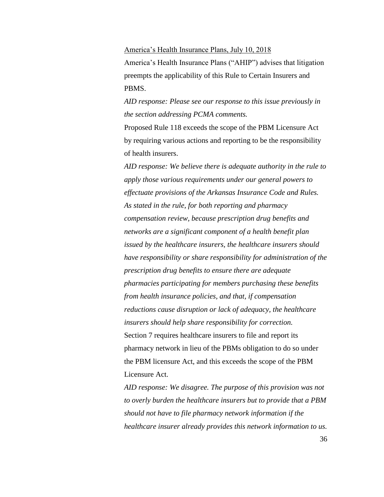America's Health Insurance Plans, July 10, 2018 America's Health Insurance Plans ("AHIP") advises that litigation preempts the applicability of this Rule to Certain Insurers and PBMS.

*AID response: Please see our response to this issue previously in the section addressing PCMA comments.* 

Proposed Rule 118 exceeds the scope of the PBM Licensure Act by requiring various actions and reporting to be the responsibility of health insurers.

*AID response: We believe there is adequate authority in the rule to apply those various requirements under our general powers to effectuate provisions of the Arkansas Insurance Code and Rules. As stated in the rule, for both reporting and pharmacy compensation review, because prescription drug benefits and networks are a significant component of a health benefit plan issued by the healthcare insurers, the healthcare insurers should have responsibility or share responsibility for administration of the prescription drug benefits to ensure there are adequate pharmacies participating for members purchasing these benefits from health insurance policies, and that, if compensation reductions cause disruption or lack of adequacy, the healthcare insurers should help share responsibility for correction.* Section 7 requires healthcare insurers to file and report its pharmacy network in lieu of the PBMs obligation to do so under the PBM licensure Act, and this exceeds the scope of the PBM Licensure Act.

*AID response: We disagree. The purpose of this provision was not to overly burden the healthcare insurers but to provide that a PBM should not have to file pharmacy network information if the healthcare insurer already provides this network information to us.*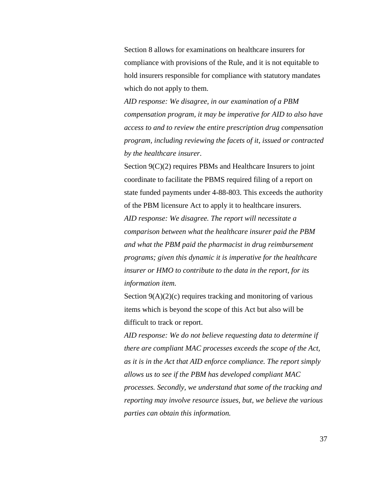Section 8 allows for examinations on healthcare insurers for compliance with provisions of the Rule, and it is not equitable to hold insurers responsible for compliance with statutory mandates which do not apply to them.

*AID response: We disagree, in our examination of a PBM compensation program, it may be imperative for AID to also have access to and to review the entire prescription drug compensation program, including reviewing the facets of it, issued or contracted by the healthcare insurer.* 

Section 9(C)(2) requires PBMs and Healthcare Insurers to joint coordinate to facilitate the PBMS required filing of a report on state funded payments under 4-88-803. This exceeds the authority of the PBM licensure Act to apply it to healthcare insurers. *AID response: We disagree. The report will necessitate a comparison between what the healthcare insurer paid the PBM and what the PBM paid the pharmacist in drug reimbursement programs; given this dynamic it is imperative for the healthcare insurer or HMO to contribute to the data in the report, for its information item.*

Section  $9(A)(2)(c)$  requires tracking and monitoring of various items which is beyond the scope of this Act but also will be difficult to track or report.

*AID response: We do not believe requesting data to determine if there are compliant MAC processes exceeds the scope of the Act, as it is in the Act that AID enforce compliance. The report simply allows us to see if the PBM has developed compliant MAC processes. Secondly, we understand that some of the tracking and reporting may involve resource issues, but, we believe the various parties can obtain this information.*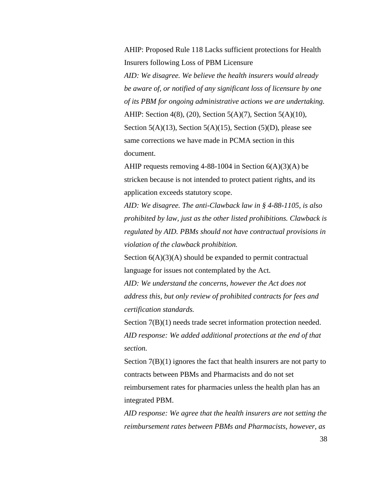AHIP: Proposed Rule 118 Lacks sufficient protections for Health Insurers following Loss of PBM Licensure

*AID: We disagree. We believe the health insurers would already be aware of, or notified of any significant loss of licensure by one of its PBM for ongoing administrative actions we are undertaking.*  AHIP: Section 4(8), (20), Section 5(A)(7), Section 5(A)(10), Section  $5(A)(13)$ , Section  $5(A)(15)$ , Section  $(5)(D)$ , please see same corrections we have made in PCMA section in this document.

AHIP requests removing  $4-88-1004$  in Section  $6(A)(3)(A)$  be stricken because is not intended to protect patient rights, and its application exceeds statutory scope.

*AID: We disagree. The anti-Clawback law in § 4-88-1105, is also prohibited by law, just as the other listed prohibitions. Clawback is regulated by AID. PBMs should not have contractual provisions in violation of the clawback prohibition.*

Section  $6(A)(3)(A)$  should be expanded to permit contractual language for issues not contemplated by the Act.

*AID: We understand the concerns, however the Act does not address this, but only review of prohibited contracts for fees and certification standards.* 

Section 7(B)(1) needs trade secret information protection needed. *AID response: We added additional protections at the end of that section.* 

Section 7(B)(1) ignores the fact that health insurers are not party to contracts between PBMs and Pharmacists and do not set reimbursement rates for pharmacies unless the health plan has an integrated PBM.

*AID response: We agree that the health insurers are not setting the reimbursement rates between PBMs and Pharmacists, however, as*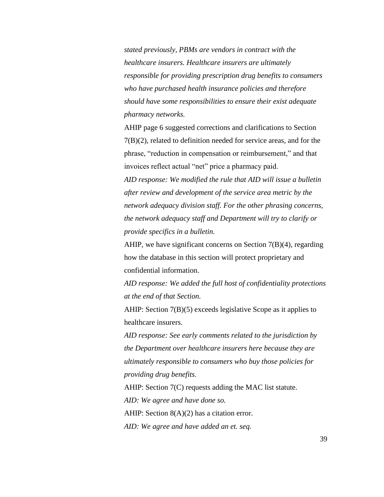*stated previously, PBMs are vendors in contract with the healthcare insurers. Healthcare insurers are ultimately responsible for providing prescription drug benefits to consumers who have purchased health insurance policies and therefore should have some responsibilities to ensure their exist adequate pharmacy networks.*

AHIP page 6 suggested corrections and clarifications to Section 7(B)(2), related to definition needed for service areas, and for the phrase, "reduction in compensation or reimbursement," and that invoices reflect actual "net" price a pharmacy paid.

*AID response: We modified the rule that AID will issue a bulletin after review and development of the service area metric by the network adequacy division staff. For the other phrasing concerns, the network adequacy staff and Department will try to clarify or provide specifics in a bulletin.* 

AHIP, we have significant concerns on Section 7(B)(4), regarding how the database in this section will protect proprietary and confidential information.

*AID response: We added the full host of confidentiality protections at the end of that Section.* 

AHIP: Section 7(B)(5) exceeds legislative Scope as it applies to healthcare insurers.

*AID response: See early comments related to the jurisdiction by the Department over healthcare insurers here because they are ultimately responsible to consumers who buy those policies for providing drug benefits.* 

AHIP: Section 7(C) requests adding the MAC list statute.

*AID: We agree and have done so.* 

AHIP: Section 8(A)(2) has a citation error.

*AID: We agree and have added an et. seq.*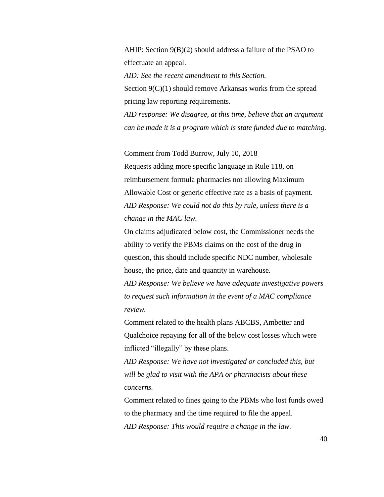AHIP: Section 9(B)(2) should address a failure of the PSAO to effectuate an appeal.

*AID: See the recent amendment to this Section.*  Section 9(C)(1) should remove Arkansas works from the spread pricing law reporting requirements.

*AID response: We disagree, at this time, believe that an argument can be made it is a program which is state funded due to matching.* 

Comment from Todd Burrow, July 10, 2018

Requests adding more specific language in Rule 118, on reimbursement formula pharmacies not allowing Maximum Allowable Cost or generic effective rate as a basis of payment. *AID Response: We could not do this by rule, unless there is a change in the MAC law.* 

On claims adjudicated below cost, the Commissioner needs the ability to verify the PBMs claims on the cost of the drug in question, this should include specific NDC number, wholesale house, the price, date and quantity in warehouse.

*AID Response: We believe we have adequate investigative powers to request such information in the event of a MAC compliance review.* 

Comment related to the health plans ABCBS, Ambetter and Qualchoice repaying for all of the below cost losses which were inflicted "illegally" by these plans.

*AID Response: We have not investigated or concluded this, but will be glad to visit with the APA or pharmacists about these concerns.*

Comment related to fines going to the PBMs who lost funds owed to the pharmacy and the time required to file the appeal. *AID Response: This would require a change in the law.*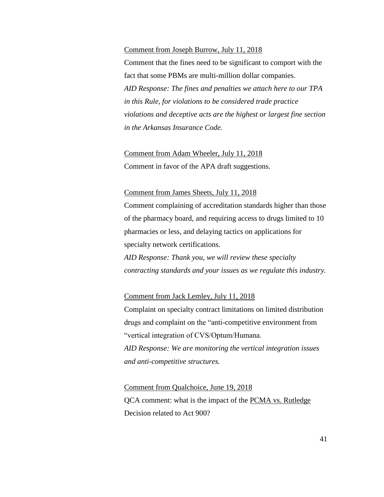### Comment from Joseph Burrow, July 11, 2018

Comment that the fines need to be significant to comport with the fact that some PBMs are multi-million dollar companies. *AID Response: The fines and penalties we attach here to our TPA in this Rule, for violations to be considered trade practice violations and deceptive acts are the highest or largest fine section in the Arkansas Insurance Code.* 

# Comment from Adam Wheeler, July 11, 2018

Comment in favor of the APA draft suggestions.

### Comment from James Sheets, July 11, 2018

Comment complaining of accreditation standards higher than those of the pharmacy board, and requiring access to drugs limited to 10 pharmacies or less, and delaying tactics on applications for specialty network certifications. *AID Response: Thank you, we will review these specialty* 

*contracting standards and your issues as we regulate this industry.*

### Comment from Jack Lemley, July 11, 2018

Complaint on specialty contract limitations on limited distribution drugs and complaint on the "anti-competitive environment from "vertical integration of CVS/Optum/Humana. *AID Response: We are monitoring the vertical integration issues and anti-competitive structures.* 

# Comment from Qualchoice, June 19, 2018 QCA comment: what is the impact of the PCMA vs. Rutledge Decision related to Act 900?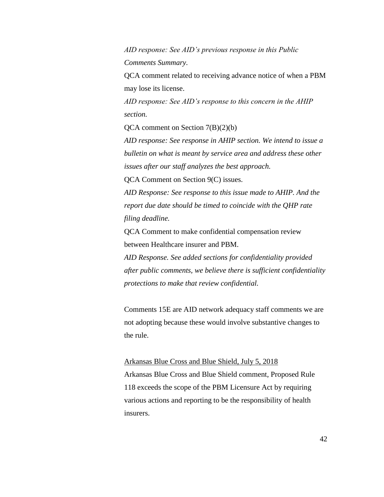*AID response: See AID's previous response in this Public Comments Summary.*

QCA comment related to receiving advance notice of when a PBM may lose its license.

*AID response: See AID's response to this concern in the AHIP section.* 

QCA comment on Section 7(B)(2)(b)

*AID response: See response in AHIP section. We intend to issue a bulletin on what is meant by service area and address these other issues after our staff analyzes the best approach.* 

QCA Comment on Section 9(C) issues.

*AID Response: See response to this issue made to AHIP. And the report due date should be timed to coincide with the QHP rate filing deadline.* 

QCA Comment to make confidential compensation review between Healthcare insurer and PBM.

*AID Response. See added sections for confidentiality provided after public comments, we believe there is sufficient confidentiality protections to make that review confidential.* 

Comments 15E are AID network adequacy staff comments we are not adopting because these would involve substantive changes to the rule.

Arkansas Blue Cross and Blue Shield, July 5, 2018 Arkansas Blue Cross and Blue Shield comment, Proposed Rule 118 exceeds the scope of the PBM Licensure Act by requiring various actions and reporting to be the responsibility of health insurers.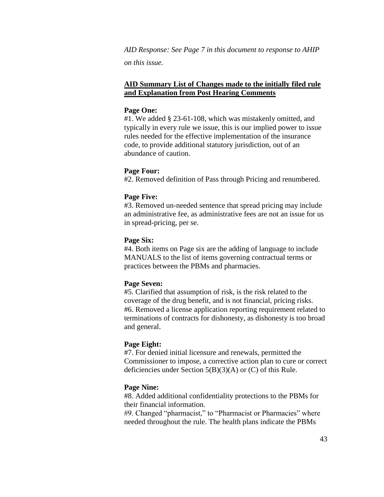*AID Response: See Page 7 in this document to response to AHIP on this issue.* 

# **AID Summary List of Changes made to the initially filed rule and Explanation from Post Hearing Comments**

### **Page One:**

#1. We added § 23-61-108, which was mistakenly omitted, and typically in every rule we issue, this is our implied power to issue rules needed for the effective implementation of the insurance code, to provide additional statutory jurisdiction, out of an abundance of caution.

### **Page Four:**

#2. Removed definition of Pass through Pricing and renumbered.

#### **Page Five:**

#3. Removed un-needed sentence that spread pricing may include an administrative fee, as administrative fees are not an issue for us in spread-pricing, per se.

#### **Page Six:**

#4. Both items on Page six are the adding of language to include MANUALS to the list of items governing contractual terms or practices between the PBMs and pharmacies.

### **Page Seven:**

#5. Clarified that assumption of risk, is the risk related to the coverage of the drug benefit, and is not financial, pricing risks. #6. Removed a license application reporting requirement related to terminations of contracts for dishonesty, as dishonesty is too broad and general.

#### **Page Eight:**

#7. For denied initial licensure and renewals, permitted the Commissioner to impose, a corrective action plan to cure or correct deficiencies under Section 5(B)(3)(A) or (C) of this Rule.

### **Page Nine:**

#8. Added additional confidentiality protections to the PBMs for their financial information.

#9. Changed "pharmacist," to "Pharmacist or Pharmacies" where needed throughout the rule. The health plans indicate the PBMs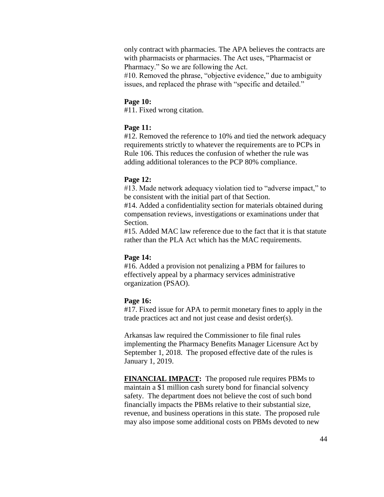only contract with pharmacies. The APA believes the contracts are with pharmacists or pharmacies. The Act uses, "Pharmacist or Pharmacy." So we are following the Act.

#10. Removed the phrase, "objective evidence," due to ambiguity issues, and replaced the phrase with "specific and detailed."

# **Page 10:**

#11. Fixed wrong citation.

# **Page 11:**

#12. Removed the reference to 10% and tied the network adequacy requirements strictly to whatever the requirements are to PCPs in Rule 106. This reduces the confusion of whether the rule was adding additional tolerances to the PCP 80% compliance.

# **Page 12:**

#13. Made network adequacy violation tied to "adverse impact," to be consistent with the initial part of that Section.

#14. Added a confidentiality section for materials obtained during compensation reviews, investigations or examinations under that Section.

#15. Added MAC law reference due to the fact that it is that statute rather than the PLA Act which has the MAC requirements.

## **Page 14:**

#16. Added a provision not penalizing a PBM for failures to effectively appeal by a pharmacy services administrative organization (PSAO).

### **Page 16:**

#17. Fixed issue for APA to permit monetary fines to apply in the trade practices act and not just cease and desist order(s).

Arkansas law required the Commissioner to file final rules implementing the Pharmacy Benefits Manager Licensure Act by September 1, 2018. The proposed effective date of the rules is January 1, 2019.

**FINANCIAL IMPACT:** The proposed rule requires PBMs to maintain a \$1 million cash surety bond for financial solvency safety. The department does not believe the cost of such bond financially impacts the PBMs relative to their substantial size, revenue, and business operations in this state. The proposed rule may also impose some additional costs on PBMs devoted to new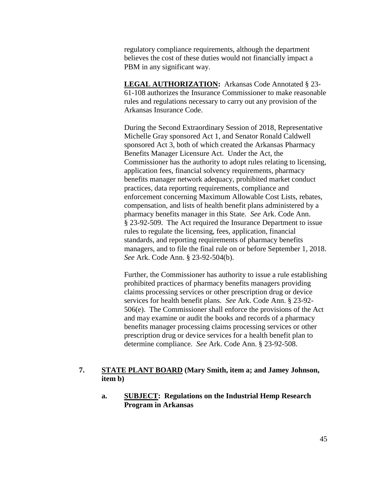regulatory compliance requirements, although the department believes the cost of these duties would not financially impact a PBM in any significant way.

**LEGAL AUTHORIZATION:** Arkansas Code Annotated § 23- 61-108 authorizes the Insurance Commissioner to make reasonable rules and regulations necessary to carry out any provision of the Arkansas Insurance Code.

During the Second Extraordinary Session of 2018, Representative Michelle Gray sponsored Act 1, and Senator Ronald Caldwell sponsored Act 3, both of which created the Arkansas Pharmacy Benefits Manager Licensure Act. Under the Act, the Commissioner has the authority to adopt rules relating to licensing, application fees, financial solvency requirements, pharmacy benefits manager network adequacy, prohibited market conduct practices, data reporting requirements, compliance and enforcement concerning Maximum Allowable Cost Lists, rebates, compensation, and lists of health benefit plans administered by a pharmacy benefits manager in this State. *See* Ark. Code Ann. § 23-92-509. The Act required the Insurance Department to issue rules to regulate the licensing, fees, application, financial standards, and reporting requirements of pharmacy benefits managers, and to file the final rule on or before September 1, 2018. *See* Ark. Code Ann. § 23-92-504(b).

Further, the Commissioner has authority to issue a rule establishing prohibited practices of pharmacy benefits managers providing claims processing services or other prescription drug or device services for health benefit plans. *See* Ark. Code Ann. § 23-92- 506(e). The Commissioner shall enforce the provisions of the Act and may examine or audit the books and records of a pharmacy benefits manager processing claims processing services or other prescription drug or device services for a health benefit plan to determine compliance. *See* Ark. Code Ann. § 23-92-508.

# **7. STATE PLANT BOARD (Mary Smith, item a; and Jamey Johnson, item b)**

**a. SUBJECT: Regulations on the Industrial Hemp Research Program in Arkansas**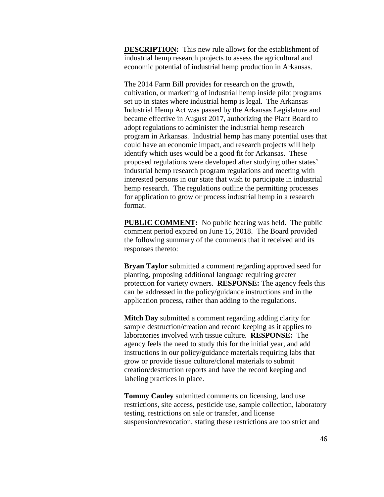**DESCRIPTION:** This new rule allows for the establishment of industrial hemp research projects to assess the agricultural and economic potential of industrial hemp production in Arkansas.

The 2014 Farm Bill provides for research on the growth, cultivation, or marketing of industrial hemp inside pilot programs set up in states where industrial hemp is legal. The Arkansas Industrial Hemp Act was passed by the Arkansas Legislature and became effective in August 2017, authorizing the Plant Board to adopt regulations to administer the industrial hemp research program in Arkansas. Industrial hemp has many potential uses that could have an economic impact, and research projects will help identify which uses would be a good fit for Arkansas. These proposed regulations were developed after studying other states' industrial hemp research program regulations and meeting with interested persons in our state that wish to participate in industrial hemp research. The regulations outline the permitting processes for application to grow or process industrial hemp in a research format.

**PUBLIC COMMENT:** No public hearing was held. The public comment period expired on June 15, 2018. The Board provided the following summary of the comments that it received and its responses thereto:

**Bryan Taylor** submitted a comment regarding approved seed for planting, proposing additional language requiring greater protection for variety owners. **RESPONSE:** The agency feels this can be addressed in the policy/guidance instructions and in the application process, rather than adding to the regulations.

**Mitch Day** submitted a comment regarding adding clarity for sample destruction/creation and record keeping as it applies to laboratories involved with tissue culture. **RESPONSE:** The agency feels the need to study this for the initial year, and add instructions in our policy/guidance materials requiring labs that grow or provide tissue culture/clonal materials to submit creation/destruction reports and have the record keeping and labeling practices in place.

**Tommy Cauley** submitted comments on licensing, land use restrictions, site access, pesticide use, sample collection, laboratory testing, restrictions on sale or transfer, and license suspension/revocation, stating these restrictions are too strict and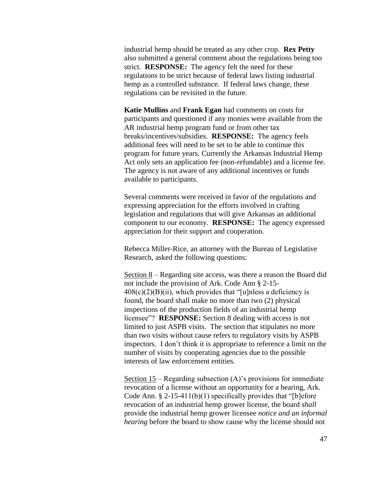industrial hemp should be treated as any other crop. **Rex Petty** also submitted a general comment about the regulations being too strict. **RESPONSE:** The agency felt the need for these regulations to be strict because of federal laws listing industrial hemp as a controlled substance. If federal laws change, these regulations can be revisited in the future.

**Katie Mullins** and **Frank Egan** had comments on costs for participants and questioned if any monies were available from the AR industrial hemp program fund or from other tax breaks/incentives/subsidies. **RESPONSE:** The agency feels additional fees will need to be set to be able to continue this program for future years. Currently the Arkansas Industrial Hemp Act only sets an application fee (non-refundable) and a license fee. The agency is not aware of any additional incentives or funds available to participants.

Several comments were received in favor of the regulations and expressing appreciation for the efforts involved in crafting legislation and regulations that will give Arkansas an additional component to our economy. **RESPONSE:** The agency expressed appreciation for their support and cooperation.

Rebecca Miller-Rice, an attorney with the Bureau of Legislative Research, asked the following questions:

Section  $8$  – Regarding site access, was there a reason the Board did not include the provision of Ark. Code Ann § 2-15-  $408(c)(2)(B)(ii)$ , which provides that "[u]nless a deficiency is found, the board shall make no more than two (2) physical inspections of the production fields of an industrial hemp licensee"? **RESPONSE:** Section 8 dealing with access is not limited to just ASPB visits. The section that stipulates no more than two visits without cause refers to regulatory visits by ASPB inspectors. I don't think it is appropriate to reference a limit on the number of visits by cooperating agencies due to the possible interests of law enforcement entities.

Section 15 – Regarding subsection (A)'s provisions for immediate revocation of a license without an opportunity for a hearing, Ark. Code Ann. § 2-15-411(b)(1) specifically provides that "[b]efore revocation of an industrial hemp grower license, the board *shall* provide the industrial hemp grower licensee *notice and an informal hearing* before the board to show cause why the license should not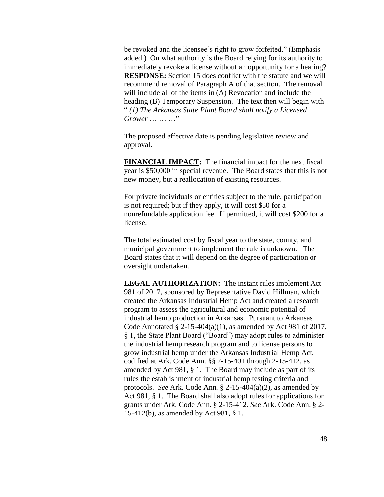be revoked and the licensee's right to grow forfeited." (Emphasis added.) On what authority is the Board relying for its authority to immediately revoke a license without an opportunity for a hearing? **RESPONSE:** Section 15 does conflict with the statute and we will recommend removal of Paragraph A of that section. The removal will include all of the items in (A) Revocation and include the heading (B) Temporary Suspension. The text then will begin with " *(1) The Arkansas State Plant Board shall notify a Licensed Grower* … … …"

The proposed effective date is pending legislative review and approval.

**FINANCIAL IMPACT:** The financial impact for the next fiscal year is \$50,000 in special revenue. The Board states that this is not new money, but a reallocation of existing resources.

For private individuals or entities subject to the rule, participation is not required; but if they apply, it will cost \$50 for a nonrefundable application fee. If permitted, it will cost \$200 for a license.

The total estimated cost by fiscal year to the state, county, and municipal government to implement the rule is unknown. The Board states that it will depend on the degree of participation or oversight undertaken.

**LEGAL AUTHORIZATION:** The instant rules implement Act 981 of 2017, sponsored by Representative David Hillman, which created the Arkansas Industrial Hemp Act and created a research program to assess the agricultural and economic potential of industrial hemp production in Arkansas. Pursuant to Arkansas Code Annotated  $\S 2-15-404(a)(1)$ , as amended by Act 981 of 2017, § 1, the State Plant Board ("Board") may adopt rules to administer the industrial hemp research program and to license persons to grow industrial hemp under the Arkansas Industrial Hemp Act, codified at Ark. Code Ann. §§ 2-15-401 through 2-15-412, as amended by Act 981, § 1. The Board may include as part of its rules the establishment of industrial hemp testing criteria and protocols. *See* Ark. Code Ann. § 2-15-404(a)(2), as amended by Act 981, § 1. The Board shall also adopt rules for applications for grants under Ark. Code Ann. § 2-15-412. *See* Ark. Code Ann. § 2- 15-412(b), as amended by Act 981, § 1.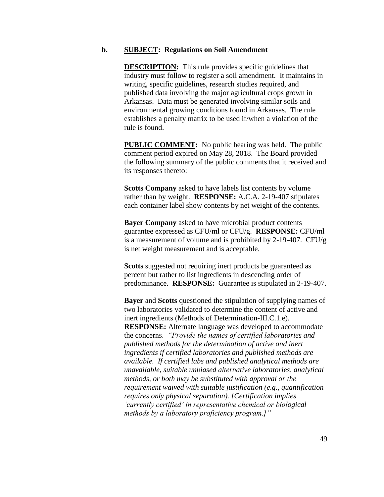### **b. SUBJECT: Regulations on Soil Amendment**

**DESCRIPTION:** This rule provides specific guidelines that industry must follow to register a soil amendment. It maintains in writing, specific guidelines, research studies required, and published data involving the major agricultural crops grown in Arkansas. Data must be generated involving similar soils and environmental growing conditions found in Arkansas. The rule establishes a penalty matrix to be used if/when a violation of the rule is found.

**PUBLIC COMMENT:** No public hearing was held. The public comment period expired on May 28, 2018. The Board provided the following summary of the public comments that it received and its responses thereto:

**Scotts Company** asked to have labels list contents by volume rather than by weight. **RESPONSE:** A.C.A. 2-19-407 stipulates each container label show contents by net weight of the contents.

**Bayer Company** asked to have microbial product contents guarantee expressed as CFU/ml or CFU/g. **RESPONSE:** CFU/ml is a measurement of volume and is prohibited by 2-19-407. CFU/g is net weight measurement and is acceptable.

**Scotts** suggested not requiring inert products be guaranteed as percent but rather to list ingredients in descending order of predominance. **RESPONSE:** Guarantee is stipulated in 2-19-407.

**Bayer** and **Scotts** questioned the stipulation of supplying names of two laboratories validated to determine the content of active and inert ingredients (Methods of Determination-III.C.1.e). **RESPONSE:** Alternate language was developed to accommodate the concerns. *"Provide the names of certified laboratories and published methods for the determination of active and inert ingredients if certified laboratories and published methods are available. If certified labs and published analytical methods are unavailable, suitable unbiased alternative laboratories, analytical methods, or both may be substituted with approval or the requirement waived with suitable justification (e.g., quantification requires only physical separation). [Certification implies 'currently certified' in representative chemical or biological methods by a laboratory proficiency program.]"*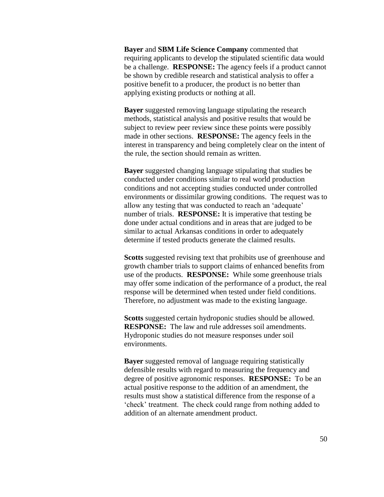**Bayer** and **SBM Life Science Company** commented that requiring applicants to develop the stipulated scientific data would be a challenge. **RESPONSE:** The agency feels if a product cannot be shown by credible research and statistical analysis to offer a positive benefit to a producer, the product is no better than applying existing products or nothing at all.

**Bayer** suggested removing language stipulating the research methods, statistical analysis and positive results that would be subject to review peer review since these points were possibly made in other sections. **RESPONSE:** The agency feels in the interest in transparency and being completely clear on the intent of the rule, the section should remain as written.

**Bayer** suggested changing language stipulating that studies be conducted under conditions similar to real world production conditions and not accepting studies conducted under controlled environments or dissimilar growing conditions. The request was to allow any testing that was conducted to reach an 'adequate' number of trials. **RESPONSE:** It is imperative that testing be done under actual conditions and in areas that are judged to be similar to actual Arkansas conditions in order to adequately determine if tested products generate the claimed results.

**Scotts** suggested revising text that prohibits use of greenhouse and growth chamber trials to support claims of enhanced benefits from use of the products. **RESPONSE:** While some greenhouse trials may offer some indication of the performance of a product, the real response will be determined when tested under field conditions. Therefore, no adjustment was made to the existing language.

**Scotts** suggested certain hydroponic studies should be allowed. **RESPONSE:** The law and rule addresses soil amendments. Hydroponic studies do not measure responses under soil environments.

**Bayer** suggested removal of language requiring statistically defensible results with regard to measuring the frequency and degree of positive agronomic responses. **RESPONSE:** To be an actual positive response to the addition of an amendment, the results must show a statistical difference from the response of a 'check' treatment. The check could range from nothing added to addition of an alternate amendment product.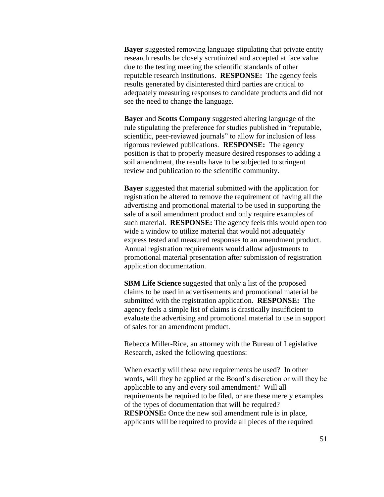**Bayer** suggested removing language stipulating that private entity research results be closely scrutinized and accepted at face value due to the testing meeting the scientific standards of other reputable research institutions. **RESPONSE:** The agency feels results generated by disinterested third parties are critical to adequately measuring responses to candidate products and did not see the need to change the language.

**Bayer** and **Scotts Company** suggested altering language of the rule stipulating the preference for studies published in "reputable, scientific, peer-reviewed journals" to allow for inclusion of less rigorous reviewed publications. **RESPONSE:** The agency position is that to properly measure desired responses to adding a soil amendment, the results have to be subjected to stringent review and publication to the scientific community.

**Bayer** suggested that material submitted with the application for registration be altered to remove the requirement of having all the advertising and promotional material to be used in supporting the sale of a soil amendment product and only require examples of such material. **RESPONSE:** The agency feels this would open too wide a window to utilize material that would not adequately express tested and measured responses to an amendment product. Annual registration requirements would allow adjustments to promotional material presentation after submission of registration application documentation.

**SBM Life Science** suggested that only a list of the proposed claims to be used in advertisements and promotional material be submitted with the registration application. **RESPONSE:** The agency feels a simple list of claims is drastically insufficient to evaluate the advertising and promotional material to use in support of sales for an amendment product.

Rebecca Miller-Rice, an attorney with the Bureau of Legislative Research, asked the following questions:

When exactly will these new requirements be used? In other words, will they be applied at the Board's discretion or will they be applicable to any and every soil amendment? Will all requirements be required to be filed, or are these merely examples of the types of documentation that will be required? **RESPONSE:** Once the new soil amendment rule is in place, applicants will be required to provide all pieces of the required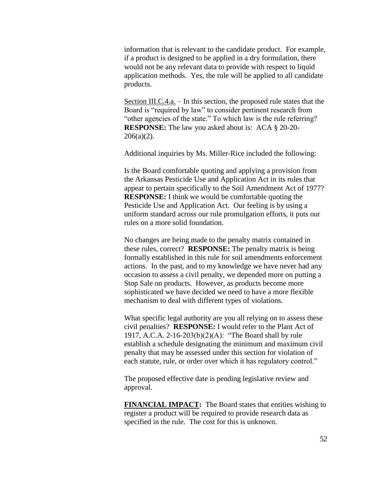information that is relevant to the candidate product. For example, if a product is designed to be applied in a dry formulation, there would not be any relevant data to provide with respect to liquid application methods. Yes, the rule will be applied to all candidate products.

Section III.C.4.a. – In this section, the proposed rule states that the Board is "required by law" to consider pertinent research from "other agencies of the state." To which law is the rule referring? **RESPONSE:** The law you asked about is: ACA § 20-20-  $206(a)(2)$ .

Additional inquiries by Ms. Miller-Rice included the following:

Is the Board comfortable quoting and applying a provision from the Arkansas Pesticide Use and Application Act in its rules that appear to pertain specifically to the Soil Amendment Act of 1977? **RESPONSE:** I think we would be comfortable quoting the Pesticide Use and Application Act. Our feeling is by using a uniform standard across our rule promulgation efforts, it puts our rules on a more solid foundation.

No changes are being made to the penalty matrix contained in these rules, correct? **RESPONSE:** The penalty matrix is being formally established in this rule for soil amendments enforcement actions. In the past, and to my knowledge we have never had any occasion to assess a civil penalty, we depended more on putting a Stop Sale on products. However, as products become more sophisticated we have decided we need to have a more flexible mechanism to deal with different types of violations.

What specific legal authority are you all relying on to assess these civil penalties? **RESPONSE:** I would refer to the Plant Act of 1917, A.C.A. 2-16-203(b)(2)(A): "The Board shall by rule establish a schedule designating the minimum and maximum civil penalty that may be assessed under this section for violation of each statute, rule, or order over which it has regulatory control."

The proposed effective date is pending legislative review and approval.

**FINANCIAL IMPACT:** The Board states that entities wishing to register a product will be required to provide research data as specified in the rule. The cost for this is unknown.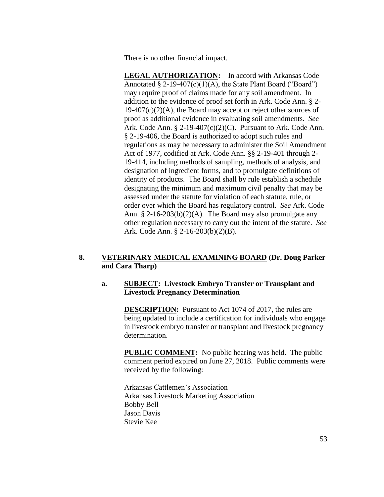There is no other financial impact.

**LEGAL AUTHORIZATION:** In accord with Arkansas Code Annotated  $\S 2$ -19-407(c)(1)(A), the State Plant Board ("Board") may require proof of claims made for any soil amendment. In addition to the evidence of proof set forth in Ark. Code Ann. § 2-  $19-407(c)(2)(A)$ , the Board may accept or reject other sources of proof as additional evidence in evaluating soil amendments. *See* Ark. Code Ann.  $\S 2$ -19-407(c)(2)(C). Pursuant to Ark. Code Ann. § 2-19-406, the Board is authorized to adopt such rules and regulations as may be necessary to administer the Soil Amendment Act of 1977, codified at Ark. Code Ann. §§ 2-19-401 through 2- 19-414, including methods of sampling, methods of analysis, and designation of ingredient forms, and to promulgate definitions of identity of products. The Board shall by rule establish a schedule designating the minimum and maximum civil penalty that may be assessed under the statute for violation of each statute, rule, or order over which the Board has regulatory control. *See* Ark. Code Ann. § 2-16-203(b)(2)(A). The Board may also promulgate any other regulation necessary to carry out the intent of the statute. *See* Ark. Code Ann. § 2-16-203(b)(2)(B).

# **8. VETERINARY MEDICAL EXAMINING BOARD (Dr. Doug Parker and Cara Tharp)**

# **a. SUBJECT: Livestock Embryo Transfer or Transplant and Livestock Pregnancy Determination**

**DESCRIPTION:** Pursuant to Act 1074 of 2017, the rules are being updated to include a certification for individuals who engage in livestock embryo transfer or transplant and livestock pregnancy determination.

**PUBLIC COMMENT:** No public hearing was held. The public comment period expired on June 27, 2018. Public comments were received by the following:

Arkansas Cattlemen's Association Arkansas Livestock Marketing Association Bobby Bell Jason Davis Stevie Kee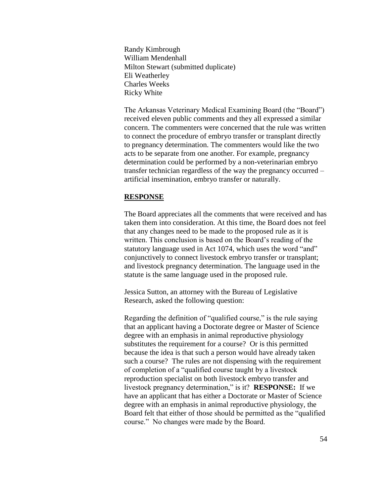Randy Kimbrough William Mendenhall Milton Stewart (submitted duplicate) Eli Weatherley Charles Weeks Ricky White

The Arkansas Veterinary Medical Examining Board (the "Board") received eleven public comments and they all expressed a similar concern. The commenters were concerned that the rule was written to connect the procedure of embryo transfer or transplant directly to pregnancy determination. The commenters would like the two acts to be separate from one another. For example, pregnancy determination could be performed by a non-veterinarian embryo transfer technician regardless of the way the pregnancy occurred – artificial insemination, embryo transfer or naturally.

### **RESPONSE**

The Board appreciates all the comments that were received and has taken them into consideration. At this time, the Board does not feel that any changes need to be made to the proposed rule as it is written. This conclusion is based on the Board's reading of the statutory language used in Act 1074, which uses the word "and" conjunctively to connect livestock embryo transfer or transplant; and livestock pregnancy determination. The language used in the statute is the same language used in the proposed rule.

Jessica Sutton, an attorney with the Bureau of Legislative Research, asked the following question:

Regarding the definition of "qualified course," is the rule saying that an applicant having a Doctorate degree or Master of Science degree with an emphasis in animal reproductive physiology substitutes the requirement for a course? Or is this permitted because the idea is that such a person would have already taken such a course? The rules are not dispensing with the requirement of completion of a "qualified course taught by a livestock reproduction specialist on both livestock embryo transfer and livestock pregnancy determination," is it? **RESPONSE:** If we have an applicant that has either a Doctorate or Master of Science degree with an emphasis in animal reproductive physiology, the Board felt that either of those should be permitted as the "qualified course." No changes were made by the Board.